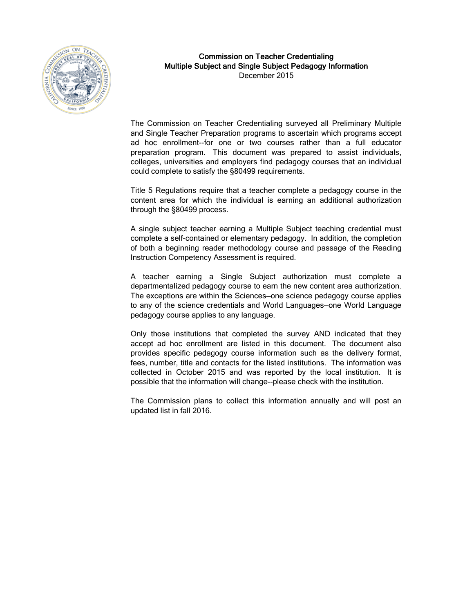

# Commission on Teacher Credentialing Multiple Subject and Single Subject Pedagogy Information

December 2015

The Commission on Teacher Credentialing surveyed all Preliminary Multiple and Single Teacher Preparation programs to ascertain which programs accept ad hoc enrollment--for one or two courses rather than a full educator preparation program. This document was prepared to assist individuals, colleges, universities and employers find pedagogy courses that an individual could complete to satisfy the §80499 requirements.

Title 5 Regulations require that a teacher complete a pedagogy course in the content area for which the individual is earning an additional authorization through the §80499 process.

A single subject teacher earning a Multiple Subject teaching credential must complete a self-contained or elementary pedagogy. In addition, the completion of both a beginning reader methodology course and passage of the Reading Instruction Competency Assessment is required.

A teacher earning a Single Subject authorization must complete a departmentalized pedagogy course to earn the new content area authorization. The exceptions are within the Sciences—one science pedagogy course applies to any of the science credentials and World Languages—one World Language pedagogy course applies to any language.

Only those institutions that completed the survey AND indicated that they accept ad hoc enrollment are listed in this document. The document also provides specific pedagogy course information such as the delivery format, fees, number, title and contacts for the listed institutions. The information was collected in October 2015 and was reported by the local institution. It is possible that the information will change--please check with the institution.

The Commission plans to collect this information annually and will post an updated list in fall 2016.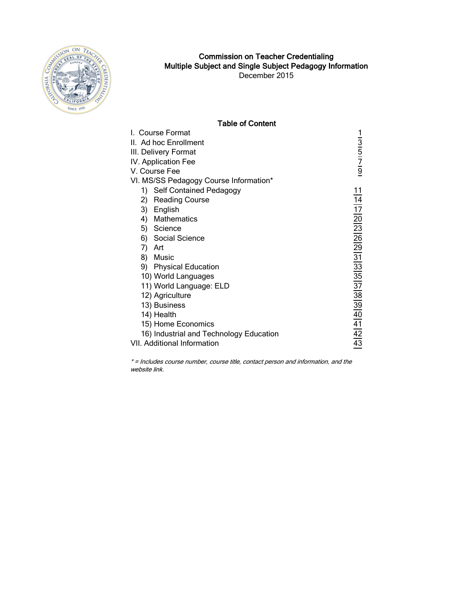

# Commission on Teacher Credentialing Multiple Subject and Single Subject Pedagogy Information

December 2015

### Table of Content

| I. Course Format                        | 1  |
|-----------------------------------------|----|
| II. Ad hoc Enrollment                   | 3  |
| III. Delivery Format                    | 5  |
| IV. Application Fee                     | 7  |
| V. Course Fee                           | 9  |
| VI. MS/SS Pedagogy Course Information*  |    |
| 1) Self Contained Pedagogy              | 11 |
| 2)<br><b>Reading Course</b>             | 14 |
| 3) English                              | 17 |
| 4) Mathematics                          | 20 |
| 5) Science                              | 23 |
| 6) Social Science                       | 26 |
| 7)<br>Art                               | 29 |
| 8)<br>Music                             | 31 |
| 9) Physical Education                   | 33 |
| 10) World Languages                     | 35 |
| 11) World Language: ELD                 | 37 |
| 12) Agriculture                         | 38 |
| 13) Business                            | 39 |
| 14) Health                              | 40 |
| 15) Home Economics                      | 41 |
| 16) Industrial and Technology Education | 42 |
| VII. Additional Information             | 43 |

\* = Includes course number, course title, contact person and information, and the website link.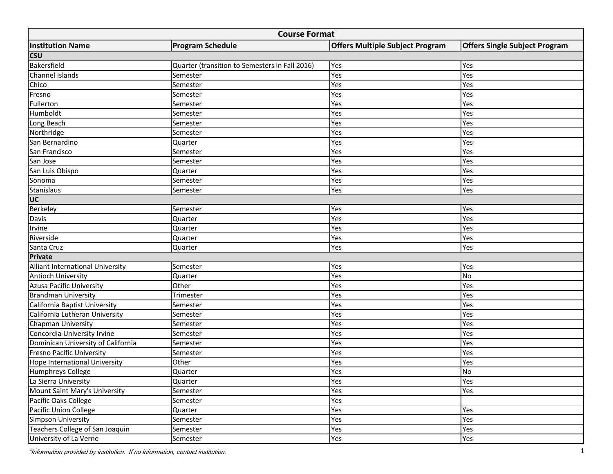<span id="page-2-0"></span>

|                                    | <b>Course Format</b>                           |                                        |                                      |  |  |  |  |  |  |  |  |  |  |
|------------------------------------|------------------------------------------------|----------------------------------------|--------------------------------------|--|--|--|--|--|--|--|--|--|--|
| <b>Institution Name</b>            | <b>Program Schedule</b>                        | <b>Offers Multiple Subject Program</b> | <b>Offers Single Subject Program</b> |  |  |  |  |  |  |  |  |  |  |
| <b>CSU</b>                         |                                                |                                        |                                      |  |  |  |  |  |  |  |  |  |  |
| Bakersfield                        | Quarter (transition to Semesters in Fall 2016) | Yes                                    | Yes                                  |  |  |  |  |  |  |  |  |  |  |
| Channel Islands                    | Semester                                       | Yes                                    | Yes                                  |  |  |  |  |  |  |  |  |  |  |
| Chico                              | Semester                                       | Yes                                    | Yes                                  |  |  |  |  |  |  |  |  |  |  |
| Fresno                             | Semester                                       | Yes                                    | Yes                                  |  |  |  |  |  |  |  |  |  |  |
| Fullerton                          | Semester                                       | Yes                                    | Yes                                  |  |  |  |  |  |  |  |  |  |  |
| Humboldt                           | Semester                                       | Yes                                    | Yes                                  |  |  |  |  |  |  |  |  |  |  |
| Long Beach                         | Semester                                       | Yes                                    | Yes                                  |  |  |  |  |  |  |  |  |  |  |
| Northridge                         | Semester                                       | Yes                                    | Yes                                  |  |  |  |  |  |  |  |  |  |  |
| San Bernardino                     | Quarter                                        | Yes                                    | Yes                                  |  |  |  |  |  |  |  |  |  |  |
| San Francisco                      | Semester                                       | Yes                                    | Yes                                  |  |  |  |  |  |  |  |  |  |  |
| San Jose                           | Semester                                       | Yes                                    | Yes                                  |  |  |  |  |  |  |  |  |  |  |
| San Luis Obispo                    | Quarter                                        | Yes                                    | Yes                                  |  |  |  |  |  |  |  |  |  |  |
| Sonoma                             | Semester                                       | Yes                                    | Yes                                  |  |  |  |  |  |  |  |  |  |  |
| Stanislaus                         | Semester                                       | Yes                                    | Yes                                  |  |  |  |  |  |  |  |  |  |  |
| UC                                 |                                                |                                        |                                      |  |  |  |  |  |  |  |  |  |  |
| Berkeley                           | Semester                                       | Yes                                    | Yes                                  |  |  |  |  |  |  |  |  |  |  |
| Davis                              | Quarter                                        | Yes                                    | Yes                                  |  |  |  |  |  |  |  |  |  |  |
| Irvine                             | Quarter                                        | Yes                                    | Yes                                  |  |  |  |  |  |  |  |  |  |  |
| Riverside                          | Quarter                                        | Yes                                    | Yes                                  |  |  |  |  |  |  |  |  |  |  |
| Santa Cruz                         | Quarter                                        | Yes                                    | Yes                                  |  |  |  |  |  |  |  |  |  |  |
| Private                            |                                                |                                        |                                      |  |  |  |  |  |  |  |  |  |  |
| Alliant International University   | Semester                                       | Yes                                    | Yes                                  |  |  |  |  |  |  |  |  |  |  |
| <b>Antioch University</b>          | Quarter                                        | Yes                                    | No                                   |  |  |  |  |  |  |  |  |  |  |
| <b>Azusa Pacific University</b>    | Other                                          | Yes                                    | Yes                                  |  |  |  |  |  |  |  |  |  |  |
| <b>Brandman University</b>         | Trimester                                      | Yes                                    | Yes                                  |  |  |  |  |  |  |  |  |  |  |
| California Baptist University      | Semester                                       | Yes                                    | Yes                                  |  |  |  |  |  |  |  |  |  |  |
| California Lutheran University     | Semester                                       | Yes                                    | Yes                                  |  |  |  |  |  |  |  |  |  |  |
| Chapman University                 | Semester                                       | Yes                                    | Yes                                  |  |  |  |  |  |  |  |  |  |  |
| Concordia University Irvine        | Semester                                       | Yes                                    | Yes                                  |  |  |  |  |  |  |  |  |  |  |
| Dominican University of California | Semester                                       | Yes                                    | Yes                                  |  |  |  |  |  |  |  |  |  |  |
| <b>Fresno Pacific University</b>   | Semester                                       | Yes                                    | Yes                                  |  |  |  |  |  |  |  |  |  |  |
| Hope International University      | Other                                          | Yes                                    | Yes                                  |  |  |  |  |  |  |  |  |  |  |
| <b>Humphreys College</b>           | Quarter                                        | Yes                                    | <b>No</b>                            |  |  |  |  |  |  |  |  |  |  |
| La Sierra University               | Quarter                                        | Yes                                    | Yes                                  |  |  |  |  |  |  |  |  |  |  |
| Mount Saint Mary's University      | Semester                                       | Yes                                    | Yes                                  |  |  |  |  |  |  |  |  |  |  |
| Pacific Oaks College               | Semester                                       | Yes                                    |                                      |  |  |  |  |  |  |  |  |  |  |
| Pacific Union College              | Quarter                                        | Yes                                    | Yes                                  |  |  |  |  |  |  |  |  |  |  |
| Simpson University                 | Semester                                       | Yes                                    | Yes                                  |  |  |  |  |  |  |  |  |  |  |
| Teachers College of San Joaquin    | Semester                                       | Yes                                    | Yes                                  |  |  |  |  |  |  |  |  |  |  |
| University of La Verne             | Semester                                       | Yes                                    | Yes                                  |  |  |  |  |  |  |  |  |  |  |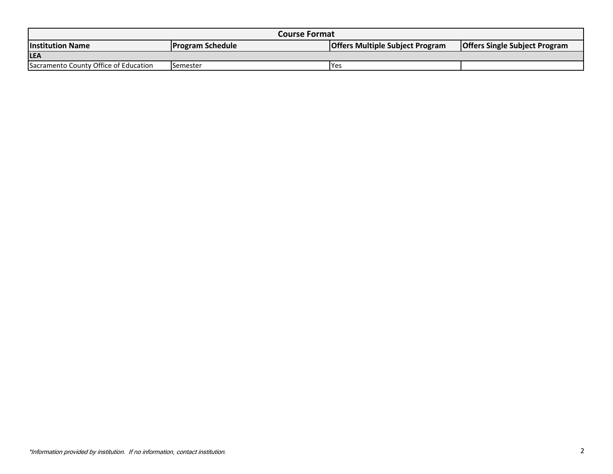|                                                                                                                                      | <b>Course Format</b> |      |  |  |  |  |  |  |  |  |  |  |
|--------------------------------------------------------------------------------------------------------------------------------------|----------------------|------|--|--|--|--|--|--|--|--|--|--|
| <b>Offers Single Subject Program</b><br><b>Program Schedule</b><br><b>Offers Multiple Subject Program</b><br><b>Institution Name</b> |                      |      |  |  |  |  |  |  |  |  |  |  |
| <b>LEA</b>                                                                                                                           |                      |      |  |  |  |  |  |  |  |  |  |  |
| Sacramento County Office of Education                                                                                                | Semester             | lYes |  |  |  |  |  |  |  |  |  |  |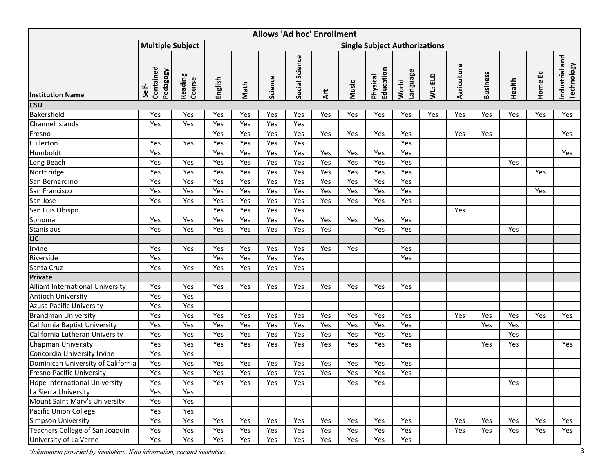<span id="page-4-0"></span>

|                                                                               | <b>Allows 'Ad hoc' Enrollment</b><br><b>Multiple Subject</b><br><b>Single Subject Authorizations</b> |                   |         |      |         |                |            |       |                              |                   |         |             |                 |        |         |                                     |
|-------------------------------------------------------------------------------|------------------------------------------------------------------------------------------------------|-------------------|---------|------|---------|----------------|------------|-------|------------------------------|-------------------|---------|-------------|-----------------|--------|---------|-------------------------------------|
|                                                                               |                                                                                                      |                   |         |      |         |                |            |       |                              |                   |         |             |                 |        |         |                                     |
| <b>Institution Name</b>                                                       | Contained<br>Pedagogy<br>Self-                                                                       | Reading<br>Course | English | Math | Science | Social Science | <b>Art</b> | Music | Education<br><b>Physical</b> | Language<br>World | WL: ELD | Agriculture | <b>Business</b> | Health | Home Ec | Industrial and<br><b>Technology</b> |
| <b>CSU</b>                                                                    |                                                                                                      |                   |         |      |         |                |            |       |                              |                   |         |             |                 |        |         |                                     |
| Bakersfield                                                                   | Yes                                                                                                  | Yes               | Yes     | Yes  | Yes     | Yes            | Yes        | Yes   | Yes                          | Yes               | Yes     | Yes         | Yes             | Yes    | Yes     | Yes                                 |
| <b>Channel Islands</b>                                                        | Yes                                                                                                  | Yes               | Yes     | Yes  | Yes     | Yes            |            |       |                              |                   |         |             |                 |        |         |                                     |
| Fresno                                                                        |                                                                                                      |                   | Yes     | Yes  | Yes     | Yes            | Yes        | Yes   | Yes                          | Yes               |         | Yes         | Yes             |        |         | Yes                                 |
| Fullerton                                                                     | Yes                                                                                                  | Yes               | Yes     | Yes  | Yes     | Yes            |            |       |                              | Yes               |         |             |                 |        |         |                                     |
| Humboldt                                                                      | Yes                                                                                                  |                   | Yes     | Yes  | Yes     | Yes            | Yes        | Yes   | Yes                          | Yes               |         |             |                 |        |         | Yes                                 |
| Long Beach                                                                    | Yes                                                                                                  | Yes               | Yes     | Yes  | Yes     | Yes            | Yes        | Yes   | Yes                          | Yes               |         |             |                 | Yes    |         |                                     |
| Northridge                                                                    | Yes                                                                                                  | Yes               | Yes     | Yes  | Yes     | Yes            | Yes        | Yes   | Yes                          | Yes               |         |             |                 |        | Yes     |                                     |
| San Bernardino                                                                | Yes                                                                                                  | Yes               | Yes     | Yes  | Yes     | Yes            | Yes        | Yes   | Yes                          | Yes               |         |             |                 |        |         |                                     |
| San Francisco                                                                 | Yes                                                                                                  | Yes               | Yes     | Yes  | Yes     | Yes            | Yes        | Yes   | Yes                          | Yes               |         |             |                 |        | Yes     |                                     |
| San Jose                                                                      | Yes                                                                                                  | Yes               | Yes     | Yes  | Yes     | Yes            | Yes        | Yes   | Yes                          | Yes               |         |             |                 |        |         |                                     |
| San Luis Obispo                                                               |                                                                                                      |                   | Yes     | Yes  | Yes     | Yes            |            |       |                              |                   |         | Yes         |                 |        |         |                                     |
| Sonoma                                                                        | Yes                                                                                                  | Yes               | Yes     | Yes  | Yes     | Yes            | Yes        | Yes   | Yes                          | Yes               |         |             |                 |        |         |                                     |
| <b>Stanislaus</b>                                                             | Yes                                                                                                  | Yes               | Yes     | Yes  | Yes     | Yes            | Yes        |       | Yes                          | Yes               |         |             |                 | Yes    |         |                                     |
| UC                                                                            |                                                                                                      |                   |         |      |         |                |            |       |                              |                   |         |             |                 |        |         |                                     |
| Irvine                                                                        | Yes                                                                                                  | Yes               | Yes     | Yes  | Yes     | Yes            | Yes        | Yes   |                              | Yes               |         |             |                 |        |         |                                     |
| Riverside                                                                     | Yes                                                                                                  |                   | Yes     | Yes  | Yes     | Yes            |            |       |                              | Yes               |         |             |                 |        |         |                                     |
| Santa Cruz                                                                    | Yes                                                                                                  | Yes               | Yes     | Yes  | Yes     | Yes            |            |       |                              |                   |         |             |                 |        |         |                                     |
| <b>Private</b>                                                                |                                                                                                      |                   |         |      |         |                |            |       |                              |                   |         |             |                 |        |         |                                     |
| Alliant International University                                              | Yes                                                                                                  | Yes               | Yes     | Yes  | Yes     | Yes            | Yes        | Yes   | Yes                          | Yes               |         |             |                 |        |         |                                     |
| <b>Antioch University</b>                                                     | Yes                                                                                                  | Yes               |         |      |         |                |            |       |                              |                   |         |             |                 |        |         |                                     |
| <b>Azusa Pacific University</b>                                               | Yes                                                                                                  | Yes               |         |      |         |                |            |       |                              |                   |         |             |                 |        |         |                                     |
| <b>Brandman University</b>                                                    | Yes                                                                                                  | Yes               | Yes     | Yes  | Yes     | Yes            | Yes        | Yes   | Yes                          | Yes               |         | Yes         | Yes             | Yes    | Yes     | Yes                                 |
| California Baptist University                                                 | Yes                                                                                                  | Yes               | Yes     | Yes  | Yes     | Yes            | Yes        | Yes   | Yes                          | Yes               |         |             | Yes             | Yes    |         |                                     |
| California Lutheran University                                                | Yes                                                                                                  | Yes               | Yes     | Yes  | Yes     | Yes            | Yes        | Yes   | Yes                          | Yes               |         |             |                 | Yes    |         |                                     |
| <b>Chapman University</b>                                                     | Yes                                                                                                  | Yes               | Yes     | Yes  | Yes     | Yes            | Yes        | Yes   | Yes                          | Yes               |         |             | Yes             | Yes    |         | Yes                                 |
| Concordia University Irvine                                                   | Yes                                                                                                  | Yes               |         |      |         |                |            |       |                              |                   |         |             |                 |        |         |                                     |
| Dominican University of California                                            | Yes                                                                                                  | Yes               | Yes     | Yes  | Yes     | Yes            | Yes        | Yes   | Yes                          | Yes               |         |             |                 |        |         |                                     |
| <b>Fresno Pacific University</b>                                              | Yes                                                                                                  | Yes               | Yes     | Yes  | Yes     | Yes            | Yes        | Yes   | Yes                          | Yes               |         |             |                 |        |         |                                     |
| <b>Hope International University</b>                                          | Yes                                                                                                  | Yes               | Yes     | Yes  | Yes     | Yes            |            | Yes   | Yes                          |                   |         |             |                 | Yes    |         |                                     |
| La Sierra University                                                          | Yes                                                                                                  | Yes               |         |      |         |                |            |       |                              |                   |         |             |                 |        |         |                                     |
| Mount Saint Mary's University                                                 | Yes                                                                                                  | Yes               |         |      |         |                |            |       |                              |                   |         |             |                 |        |         |                                     |
| Pacific Union College                                                         | Yes                                                                                                  | Yes               |         |      |         |                |            |       |                              |                   |         |             |                 |        |         |                                     |
| Simpson University                                                            | Yes                                                                                                  | Yes               | Yes     | Yes  | Yes     | Yes            | Yes        | Yes   | Yes                          | Yes               |         | Yes         | Yes             | Yes    | Yes     | Yes                                 |
| Teachers College of San Joaquin                                               | Yes                                                                                                  | Yes               | Yes     | Yes  | Yes     | Yes            | Yes        | Yes   | Yes                          | Yes               |         | Yes         | Yes             | Yes    | Yes     | Yes                                 |
| University of La Verne                                                        | Yes                                                                                                  | Yes               | Yes     | Yes  | Yes     | Yes            | Yes        | Yes   | Yes                          | Yes               |         |             |                 |        |         |                                     |
| *Information provided by institution. If no information, contact institution. |                                                                                                      |                   |         |      |         |                |            |       |                              |                   |         |             |                 |        |         |                                     |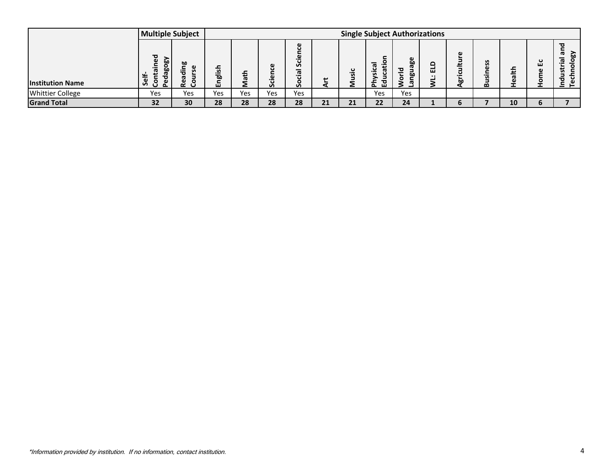|                                                                               | <b>Multiple Subject</b>        |                   |         |      |            |                 |     |            |                       | <b>Single Subject Authorizations</b> |             |                  |                 |        |                  |                                     |
|-------------------------------------------------------------------------------|--------------------------------|-------------------|---------|------|------------|-----------------|-----|------------|-----------------------|--------------------------------------|-------------|------------------|-----------------|--------|------------------|-------------------------------------|
| <b>Institution Name</b>                                                       | Contained<br>Pedagogy<br>Self- | Reading<br>Course | English | Math | Science    | Social Science  | Art | Music      | Education<br>Physical | World<br>Language                    | WL: ELD     | Agriculture      | <b>Business</b> | Health | Home Ec          | Industrial and<br><b>Technology</b> |
| <b>Whittier College</b>                                                       | Yes                            | Yes               | Yes     | Yes  | Yes        | Yes             |     |            | Yes                   | Yes                                  |             |                  |                 |        |                  |                                     |
| <b>Grand Total</b>                                                            | $\overline{32}$                | $\bf{30}$         | 28      | 28   | ${\bf 28}$ | $\overline{28}$ | 21  | ${\bf 21}$ | $22$                  | ${\bf 24}$                           | $\mathbf 1$ | $\boldsymbol{6}$ | $\overline{7}$  | 10     | $\boldsymbol{6}$ | $\overline{7}$                      |
|                                                                               |                                |                   |         |      |            |                 |     |            |                       |                                      |             |                  |                 |        |                  |                                     |
| *Information provided by institution. If no information, contact institution. |                                |                   |         |      |            |                 |     |            |                       |                                      |             |                  |                 |        |                  | 4                                   |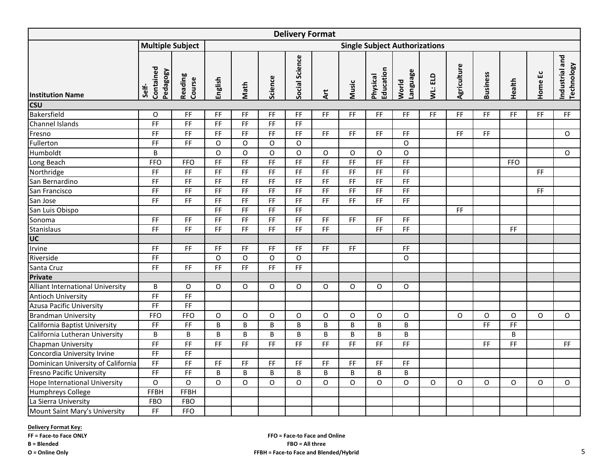<span id="page-6-0"></span>

| <b>Delivery Format</b>               |                                |                              |                              |           |                              |                              |                              |                              |                                      |                                                                                                |         |             |                              |            |          |                                     |
|--------------------------------------|--------------------------------|------------------------------|------------------------------|-----------|------------------------------|------------------------------|------------------------------|------------------------------|--------------------------------------|------------------------------------------------------------------------------------------------|---------|-------------|------------------------------|------------|----------|-------------------------------------|
|                                      | <b>Multiple Subject</b>        |                              |                              |           |                              |                              |                              |                              | <b>Single Subject Authorizations</b> |                                                                                                |         |             |                              |            |          |                                     |
| <b>Institution Name</b>              | Contained<br>Pedagogy<br>Self- | Reading<br>Course            | English                      | Math      | Science                      | Social Science               | Art                          | Music                        | Education<br><b>Physical</b>         | <b>Language</b><br>World                                                                       | WL: ELD | Agriculture | <b>Business</b>              | Health     | Home Ec  | Industrial and<br><b>Technology</b> |
| <b>CSU</b>                           |                                |                              |                              |           |                              |                              |                              |                              |                                      |                                                                                                |         |             |                              |            |          |                                     |
| Bakersfield                          | O                              | FF                           | <b>FF</b>                    | <b>FF</b> | FF                           | FF                           | FF.                          | FF                           | FF                                   | FF.                                                                                            | FF.     | <b>FF</b>   | FF.                          | FF.        | FF.      | FF.                                 |
| Channel Islands                      | F                              | F                            | FF                           | F         | F                            | FF                           |                              |                              |                                      |                                                                                                |         |             |                              |            |          |                                     |
| Fresno                               | $\mathsf{FF}% _{\mathsf{F}}$   | F                            | FF                           | FF        | FF                           | FF                           | FF.                          | FF                           | FF                                   | FF.                                                                                            |         | FF          | $\mathsf{FF}% _{\mathsf{F}}$ |            |          | $\Omega$                            |
| Fullerton                            | $\overline{F}$                 | FF                           | O                            | 0         | O                            | O                            |                              |                              |                                      | O                                                                                              |         |             |                              |            |          |                                     |
| Humboldt                             | $\sf B$                        |                              | $\circ$                      | $\circ$   | $\circ$                      | $\circ$                      | $\mathsf O$                  | 0                            | O                                    | $\mathsf O$                                                                                    |         |             |                              |            |          | $\circ$                             |
| Long Beach                           | <b>FFO</b>                     | <b>FFO</b>                   | F                            | FF        | FF                           | F                            | F                            | F                            | FF                                   | $\mathsf{FF}% _{0}\left( \mathcal{F}_{0}\right) =\mathsf{FF}_{0}\left( \mathcal{F}_{0}\right)$ |         |             |                              | <b>FFO</b> |          |                                     |
| Northridge                           | $\mathsf{FF}% _{0}$            | FF                           | $\mathsf{FF}% _{\mathsf{F}}$ | FF        | FF                           | FF                           | FF                           | FF                           | FF                                   | $\mathsf{FF}% _{\mathsf{F}}$                                                                   |         |             |                              |            | FF       |                                     |
| San Bernardino                       | $\mathsf{FF}% _{0}$            | F                            | FF                           | FF        | FF                           | $\overline{FF}$              | $\mathsf{FF}% _{0}$          | FF                           | FF                                   | $\mathsf{FF}% _{0}$                                                                            |         |             |                              |            |          |                                     |
| San Francisco                        | $\mathsf{FF}% _{0}$            | $\mathsf{FF}% _{\mathsf{F}}$ | $\mathsf{FF}% _{0}$          | FF        | FF                           | FF                           | FF                           | FF                           | FF                                   | FF                                                                                             |         |             |                              |            | FF       |                                     |
| San Jose                             | FF                             | FF                           | FF                           | FF        | FF.                          | FF                           | FF.                          | FF                           | FF                                   | FF                                                                                             |         |             |                              |            |          |                                     |
| San Luis Obispo                      |                                |                              | F                            | FF        | $\mathsf{FF}% _{\mathsf{F}}$ | FF                           |                              |                              |                                      |                                                                                                |         | FF          |                              |            |          |                                     |
| Sonoma                               | $\mathsf{FF}% _{\mathsf{F}}$   | $\mathsf{FF}% _{\mathsf{F}}$ | $\mathsf{FF}% _{\mathsf{F}}$ | FF        | FF                           | $\mathsf{FF}% _{\mathsf{F}}$ | FF                           | FF                           | FF                                   | $\mathsf{FF}% _{\mathsf{F}}$                                                                   |         |             |                              |            |          |                                     |
| <b>Stanislaus</b>                    | F                              | F                            | F                            | FF        | FF                           | F                            | F                            |                              | F                                    | FF                                                                                             |         |             |                              | FF         |          |                                     |
| UC                                   |                                |                              |                              |           |                              |                              |                              |                              |                                      |                                                                                                |         |             |                              |            |          |                                     |
| Irvine                               | $\mathsf{FF}% _{\mathsf{F}}$   | $\mathsf{FF}% _{\mathsf{F}}$ | $\mathsf{FF}% _{\mathsf{F}}$ | FF        | $\mathsf{FF}% _{\mathsf{F}}$ | $\mathsf{FF}% _{\mathsf{F}}$ | $\mathsf{FF}% _{\mathsf{F}}$ | $\mathsf{FF}% _{\mathsf{F}}$ |                                      | $\mathsf{FF}% _{\mathsf{F}}$                                                                   |         |             |                              |            |          |                                     |
| Riverside                            | $\mathsf{FF}% _{\mathsf{F}}$   |                              | O                            | O         | O                            | $\mathsf O$                  |                              |                              |                                      | O                                                                                              |         |             |                              |            |          |                                     |
| Santa Cruz                           | FF                             | <b>FF</b>                    | FF                           | <b>FF</b> | FF.                          | $\mathsf{FF}% _{\mathsf{F}}$ |                              |                              |                                      |                                                                                                |         |             |                              |            |          |                                     |
| <b>Private</b>                       |                                |                              |                              |           |                              |                              |                              |                              |                                      |                                                                                                |         |             |                              |            |          |                                     |
| Alliant International University     | B                              | O                            | 0                            | O         | O                            | 0                            | 0                            | 0                            | O                                    | 0                                                                                              |         |             |                              |            |          |                                     |
| Antioch University                   | FF                             | $\mathsf{FF}% _{\mathsf{F}}$ |                              |           |                              |                              |                              |                              |                                      |                                                                                                |         |             |                              |            |          |                                     |
| <b>Azusa Pacific University</b>      | $\mathsf{FF}% _{\mathsf{F}}$   | F                            |                              |           |                              |                              |                              |                              |                                      |                                                                                                |         |             |                              |            |          |                                     |
| <b>Brandman University</b>           | <b>FFO</b>                     | <b>FFO</b>                   | O                            | 0         | 0                            | O                            | 0                            | O                            | O                                    | O                                                                                              |         | O           | 0                            | O          | $\Omega$ | 0                                   |
| California Baptist University        | $\mathsf{FF}% _{0}$            | $\mathsf{FF}% _{0}$          | B                            | B         | B                            | B                            | $\sf B$                      | B                            | B                                    | B                                                                                              |         |             | FF                           | FF         |          |                                     |
| California Lutheran University       | $\sf B$                        | B                            | B                            | B         | B                            | B                            | $\sf B$                      | B                            | B                                    | B                                                                                              |         |             |                              | B          |          |                                     |
| Chapman University                   | F                              | F                            | FF                           | FF        | <b>FF</b>                    | FF                           | FF                           | FF                           | FF.                                  | FF                                                                                             |         |             | FF                           | FF         |          | FF.                                 |
| Concordia University Irvine          | $\mathsf{FF}% _{\mathsf{F}}$   | $\mathsf{FF}% _{\mathsf{F}}$ |                              |           |                              |                              |                              |                              |                                      |                                                                                                |         |             |                              |            |          |                                     |
| Dominican University of California   | F                              | $\overline{F}$               | FF                           | FF        | <b>FF</b>                    | FF                           | F                            | F                            | FF.                                  | FF.                                                                                            |         |             |                              |            |          |                                     |
| <b>Fresno Pacific University</b>     | F                              | FF                           | B                            | B         | B                            | B                            | B                            | B                            | B                                    | B                                                                                              |         |             |                              |            |          |                                     |
| <b>Hope International University</b> | $\circ$                        | $\circ$                      | $\Omega$                     | O         | O                            | O                            | O                            | O                            | $\Omega$                             | O                                                                                              | 0       | O           | O                            | O          | $\Omega$ | O                                   |
| Humphreys College                    | <b>FFBH</b>                    | <b>FFBH</b>                  |                              |           |                              |                              |                              |                              |                                      |                                                                                                |         |             |                              |            |          |                                     |
| La Sierra University                 | <b>FBO</b>                     | <b>FBO</b>                   |                              |           |                              |                              |                              |                              |                                      |                                                                                                |         |             |                              |            |          |                                     |
| Mount Saint Mary's University        | $\mathsf{FF}% _{0}$            | <b>FFO</b>                   |                              |           |                              |                              |                              |                              |                                      |                                                                                                |         |             |                              |            |          |                                     |

#### **Delivery Format Key:**

**FF = Face-to Face ONLY**

**B = Blended**

**O = Online Only**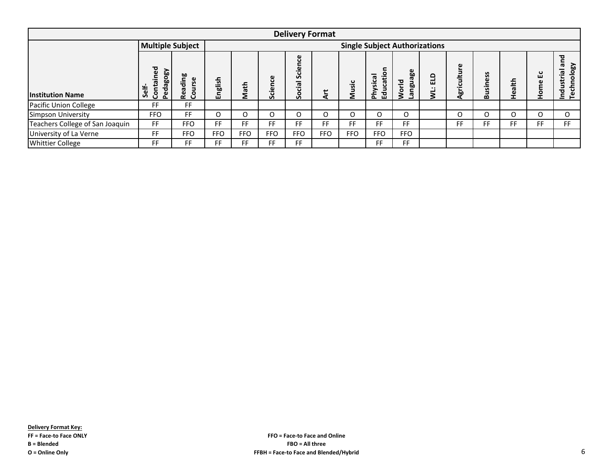|                                 |                                                                                                                                                                                                                                                                                                                                                                                                                                                                                                           |            |            |            |            | <b>Delivery Format</b> |            |            |            |                                      |                                          |     |     |          |     |
|---------------------------------|-----------------------------------------------------------------------------------------------------------------------------------------------------------------------------------------------------------------------------------------------------------------------------------------------------------------------------------------------------------------------------------------------------------------------------------------------------------------------------------------------------------|------------|------------|------------|------------|------------------------|------------|------------|------------|--------------------------------------|------------------------------------------|-----|-----|----------|-----|
|                                 | <b>Multiple Subject</b>                                                                                                                                                                                                                                                                                                                                                                                                                                                                                   |            |            |            |            |                        |            |            |            | <b>Single Subject Authorizations</b> |                                          |     |     |          |     |
| <b>Institution Name</b>         | ဗ<br>ᇃ<br>등<br>culture<br>ъ<br>မ္ပီ<br>⊂<br><b>ABo</b><br>lē.<br>88<br>ğ<br>ပ<br>ပ္တ<br>ၔၙ<br>$\Omega$<br>ш<br>÷<br>S<br>$\boldsymbol{\sigma}$<br>ᡴᠦ<br>nglish<br>Se<br>sine<br>.=<br>칆<br>᠊₩<br>ge<br><u>ي</u><br>곧<br>ω<br>កន្ធប<br>ᆞ<br>ш<br>ath<br>ᡕᢐ<br>S<br>ັທ<br>Self.<br>Agri<br><b>៊</b><br>ᅙ<br>$\boldsymbol{\sigma}$<br>O<br>ţ<br>ъ<br>Õ<br>ō<br>قة<br>e o<br>$\circ$<br>훈<br>مم<br>$\circ$<br>ᇃ<br>≂<br>Σ<br><b>G</b><br>2<br>르<br>T<br>$\mathbf \omega$<br>ш<br>ℴ<br>S.<br>$\mathbf{v}$<br>ш |            |            |            |            |                        |            |            |            |                                      | <b>ASojoi</b><br>$\tilde{\epsilon}$<br>P |     |     |          |     |
| Pacific Union College           | FF                                                                                                                                                                                                                                                                                                                                                                                                                                                                                                        | <b>FF</b>  |            |            |            |                        |            |            |            |                                      |                                          |     |     |          |     |
| <b>Simpson University</b>       | <b>FFO</b>                                                                                                                                                                                                                                                                                                                                                                                                                                                                                                | <b>FF</b>  | O          | 0          | O          | O                      | O          | O          | Ω          | O                                    | O                                        | O   | O   | $\Omega$ | O   |
| Teachers College of San Joaquin | <b>FF</b>                                                                                                                                                                                                                                                                                                                                                                                                                                                                                                 | <b>FFO</b> | <b>FF</b>  | <b>FF</b>  | FF         | FF.                    | <b>FF</b>  | FF.        | FF         | FF.                                  | <b>FF</b>                                | FF. | FF. | FF       | FF. |
| University of La Verne          | FF                                                                                                                                                                                                                                                                                                                                                                                                                                                                                                        | <b>FFO</b> | <b>FFO</b> | <b>FFO</b> | <b>FFO</b> | <b>FFO</b>             | <b>FFO</b> | <b>FFO</b> | <b>FFO</b> | <b>FFO</b>                           |                                          |     |     |          |     |
| <b>Whittier College</b>         | FF                                                                                                                                                                                                                                                                                                                                                                                                                                                                                                        | FF         | FF         | FF         | FF         | FF.                    |            |            | FF         | FF.                                  |                                          |     |     |          |     |

**FFO = Face-to Face and Online FBO = All three FFBH = Face-to Face and Blended/Hybrid** 6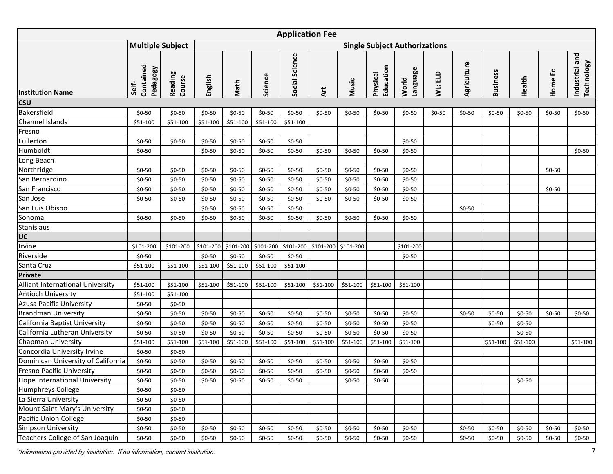<span id="page-8-0"></span>

|                                                                               | <b>Application Fee</b><br><b>Single Subject Authorizations</b> |                   |           |           |           |                |                     |          |                       |                   |         |             |                 |          |            |                                     |
|-------------------------------------------------------------------------------|----------------------------------------------------------------|-------------------|-----------|-----------|-----------|----------------|---------------------|----------|-----------------------|-------------------|---------|-------------|-----------------|----------|------------|-------------------------------------|
|                                                                               | <b>Multiple Subject</b>                                        |                   |           |           |           |                |                     |          |                       |                   |         |             |                 |          |            |                                     |
| <b>Institution Name</b>                                                       | Contained<br>Pedagogy<br>Self-                                 | Reading<br>Course | English   | Math      | Science   | Social Science | ξ                   | Music    | Education<br>Physical | Language<br>World | WL: ELD | Agriculture | <b>Business</b> | Health   | ئا<br>Home | Industrial and<br><b>Technology</b> |
| <b>CSU</b>                                                                    |                                                                |                   |           |           |           |                |                     |          |                       |                   |         |             |                 |          |            |                                     |
| Bakersfield                                                                   | $$0-50$                                                        | $$0-50$           | $$0-50$   | $$0-50$   | $$0-50$   | $$0-50$        | $$0-50$             | $$0-50$  | $$0-50$               | $$0-50$           | $$0-50$ | $$0-50$     | $$0-50$         | $$0-50$  | $$0-50$    | $$0-50$                             |
| Channel Islands                                                               | \$51-100                                                       | \$51-100          | \$51-100  | \$51-100  | \$51-100  | \$51-100       |                     |          |                       |                   |         |             |                 |          |            |                                     |
| Fresno                                                                        |                                                                |                   |           |           |           |                |                     |          |                       |                   |         |             |                 |          |            |                                     |
| Fullerton                                                                     | $$0-50$                                                        | $$0-50$           | $$0-50$   | $$0-50$   | $$0-50$   | $$0-50$        |                     |          |                       | $$0-50$           |         |             |                 |          |            |                                     |
| Humboldt                                                                      | $$0-50$                                                        |                   | $$0-50$   | $$0-50$   | $$0-50$   | $$0-50$        | $$0-50$             | $$0-50$  | $$0-50$               | $$0-50$           |         |             |                 |          |            | $$0-50$                             |
| Long Beach                                                                    |                                                                |                   |           |           |           |                |                     |          |                       |                   |         |             |                 |          |            |                                     |
| Northridge                                                                    | $$0-50$                                                        | $$0-50$           | $$0-50$   | $$0-50$   | $$0-50$   | $$0-50$        | $$0-50$             | $$0-50$  | $$0-50$               | $$0-50$           |         |             |                 |          | $$0-50$    |                                     |
| San Bernardino                                                                | $$0-50$                                                        | $$0-50$           | $$0-50$   | $$0-50$   | $$0-50$   | $$0-50$        | $$0-50$             | $$0-50$  | $$0-50$               | $$0-50$           |         |             |                 |          |            |                                     |
| San Francisco                                                                 | $$0-50$                                                        | $$0-50$           | $$0-50$   | $$0-50$   | $$0-50$   | $$0-50$        | $$0-50$             | $$0-50$  | $$0-50$               | $$0-50$           |         |             |                 |          | $$0-50$    |                                     |
| San Jose                                                                      | $$0-50$                                                        | $$0-50$           | $$0-50$   | $$0-50$   | $$0-50$   | $$0-50$        | $$0-50$             | $$0-50$  | $$0-50$               | $$0-50$           |         |             |                 |          |            |                                     |
| San Luis Obispo                                                               |                                                                |                   | $$0-50$   | $$0-50$   | $$0-50$   | $$0-50$        |                     |          |                       |                   |         | $$0-50$     |                 |          |            |                                     |
| Sonoma                                                                        | $$0-50$                                                        | $$0-50$           | $$0-50$   | $$0-50$   | $$0-50$   | $$0-50$        | $$0-50$             | $$0-50$  | $$0-50$               | $$0-50$           |         |             |                 |          |            |                                     |
| Stanislaus                                                                    |                                                                |                   |           |           |           |                |                     |          |                       |                   |         |             |                 |          |            |                                     |
| UC                                                                            |                                                                |                   |           |           |           |                |                     |          |                       |                   |         |             |                 |          |            |                                     |
| Irvine                                                                        | \$101-200                                                      | \$101-200         | \$101-200 | \$101-200 | \$101-200 | \$101-200      | \$101-200 \$101-200 |          |                       | \$101-200         |         |             |                 |          |            |                                     |
| Riverside                                                                     | $$0-50$                                                        |                   | $$0-50$   | $$0-50$   | $$0-50$   | $$0-50$        |                     |          |                       | $$0-50$           |         |             |                 |          |            |                                     |
| Santa Cruz                                                                    | \$51-100                                                       | \$51-100          | \$51-100  | \$51-100  | \$51-100  | \$51-100       |                     |          |                       |                   |         |             |                 |          |            |                                     |
| <b>Private</b>                                                                |                                                                |                   |           |           |           |                |                     |          |                       |                   |         |             |                 |          |            |                                     |
| Alliant International University                                              | \$51-100                                                       | \$51-100          | \$51-100  | \$51-100  | \$51-100  | \$51-100       | \$51-100            | \$51-100 | \$51-100              | \$51-100          |         |             |                 |          |            |                                     |
| Antioch University                                                            | \$51-100                                                       | \$51-100          |           |           |           |                |                     |          |                       |                   |         |             |                 |          |            |                                     |
| <b>Azusa Pacific University</b>                                               | $$0-50$                                                        | $$0-50$           |           |           |           |                |                     |          |                       |                   |         |             |                 |          |            |                                     |
| <b>Brandman University</b>                                                    | $$0-50$                                                        | $$0-50$           | $$0-50$   | $$0-50$   | $$0-50$   | $$0-50$        | $$0-50$             | $$0-50$  | $$0-50$               | $$0-50$           |         | $$0-50$     | $$0-50$         | $$0-50$  | $$0-50$    | $$0-50$                             |
| California Baptist University                                                 | $$0-50$                                                        | $$0-50$           | $$0-50$   | $$0-50$   | $$0-50$   | $$0-50$        | $$0-50$             | $$0-50$  | $$0-50$               | $$0-50$           |         |             | $$0-50$         | $$0-50$  |            |                                     |
| California Lutheran University                                                | $$0-50$                                                        | $$0-50$           | $$0-50$   | $$0-50$   | $$0-50$   | $$0-50$        | $$0-50$             | $$0-50$  | $$0-50$               | $$0-50$           |         |             |                 | $$0-50$  |            |                                     |
| Chapman University                                                            | \$51-100                                                       | \$51-100          | \$51-100  | \$51-100  | \$51-100  | \$51-100       | \$51-100            | \$51-100 | \$51-100              | \$51-100          |         |             | \$51-100        | \$51-100 |            | \$51-100                            |
| Concordia University Irvine                                                   | $$0-50$                                                        | $$0-50$           |           |           |           |                |                     |          |                       |                   |         |             |                 |          |            |                                     |
| Dominican University of California                                            | $$0-50$                                                        | $$0-50$           | $$0-50$   | $$0-50$   | $$0-50$   | $$0-50$        | $$0-50$             | $$0-50$  | $$0-50$               | $$0-50$           |         |             |                 |          |            |                                     |
| <b>Fresno Pacific University</b>                                              | $$0-50$                                                        | $$0-50$           | $$0-50$   | $$0-50$   | $$0-50$   | $$0-50$        | $$0-50$             | $$0-50$  | $$0-50$               | $$0-50$           |         |             |                 |          |            |                                     |
| <b>Hope International University</b>                                          | $$0-50$                                                        | $$0-50$           | $$0-50$   | $$0-50$   | $$0-50$   | $$0-50$        |                     | $$0-50$  | $$0-50$               |                   |         |             |                 | $$0-50$  |            |                                     |
| Humphreys College                                                             | $$0-50$                                                        | $$0-50$           |           |           |           |                |                     |          |                       |                   |         |             |                 |          |            |                                     |
| La Sierra University                                                          | $$0-50$                                                        | $$0-50$           |           |           |           |                |                     |          |                       |                   |         |             |                 |          |            |                                     |
| Mount Saint Mary's University                                                 | $$0-50$                                                        | $$0-50$           |           |           |           |                |                     |          |                       |                   |         |             |                 |          |            |                                     |
| Pacific Union College                                                         | $$0-50$                                                        | $$0-50$           |           |           |           |                |                     |          |                       |                   |         |             |                 |          |            |                                     |
| Simpson University                                                            | $$0-50$                                                        | $$0-50$           | $$0-50$   | $$0-50$   | $$0-50$   | $$0-50$        | $$0-50$             | $$0-50$  | $$0-50$               | $$0-50$           |         | $$0-50$     | $$0-50$         | $$0-50$  | $$0-50$    | $$0-50$                             |
| Teachers College of San Joaquin                                               | $$0-50$                                                        | $$0-50$           | $$0-50$   | $$0-50$   | $$0-50$   | $$0-50$        | $$0-50$             | $$0-50$  | $$0-50$               | $$0-50$           |         | $$0-50$     | $$0-50$         | $$0-50$  | $$0-50$    | \$0-50                              |
| *Information provided by institution. If no information, contact institution. |                                                                |                   |           |           |           |                |                     |          |                       |                   |         |             |                 |          |            | 7                                   |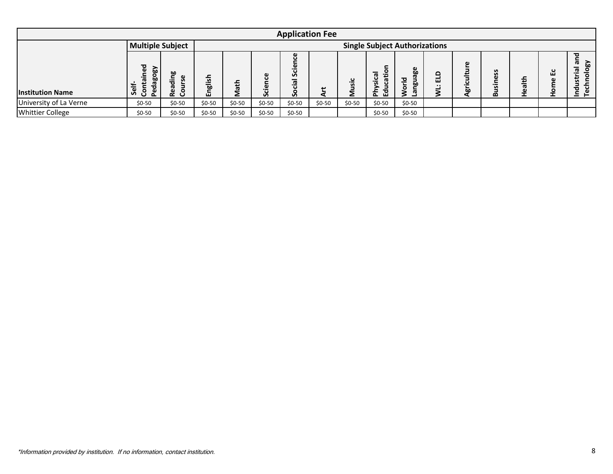|                                                                               |                                |                   |         |         |         |                | <b>Application Fee</b> |         |                       |                                      |         |             |                 |        |         |                              |
|-------------------------------------------------------------------------------|--------------------------------|-------------------|---------|---------|---------|----------------|------------------------|---------|-----------------------|--------------------------------------|---------|-------------|-----------------|--------|---------|------------------------------|
|                                                                               | <b>Multiple Subject</b>        |                   |         |         |         |                |                        |         |                       | <b>Single Subject Authorizations</b> |         |             |                 |        |         |                              |
| <b>Institution Name</b>                                                       | Contained<br>Pedagogy<br>Self- | Reading<br>Course | English | Math    | Science | Social Science | Art                    | Music   | Physical<br>Education | World<br>Language                    | WL: ELD | Agriculture | <b>Business</b> | Health | Home Ec | Industrial and<br>Technology |
| University of La Verne                                                        | $$0-50$                        | $$0-50$           | $$0-50$ | $$0-50$ | $$0-50$ | $$0-50$        | $$0-50$                | $$0-50$ | $$0-50$               | $$0-50$                              |         |             |                 |        |         |                              |
| <b>Whittier College</b>                                                       | $$0-50$                        | $$0-50$           | $$0-50$ | $$0-50$ | $$0-50$ | $$0-50$        |                        |         | $$0-50$               | $$0-50$                              |         |             |                 |        |         |                              |
|                                                                               |                                |                   |         |         |         |                |                        |         |                       |                                      |         |             |                 |        |         |                              |
| *Information provided by institution. If no information, contact institution. |                                |                   |         |         |         |                |                        |         |                       |                                      |         |             |                 |        |         | 8                            |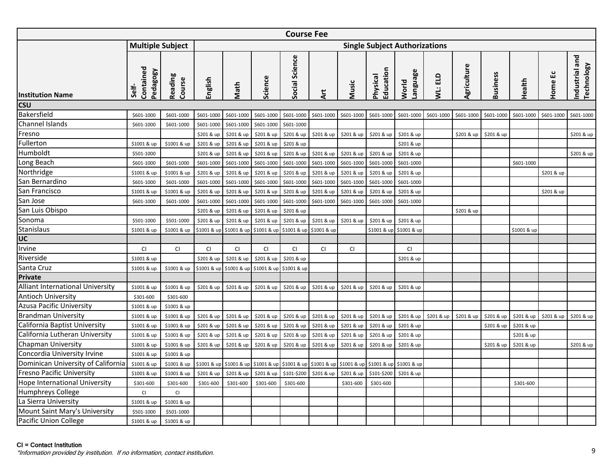<span id="page-10-0"></span>

|                                                                                                           |                                |                                                                                                             |             |                                                                                                         |                                     | <b>Course Fee</b> |             |            |                       |                                      |            |             |                 |             |            |                              |
|-----------------------------------------------------------------------------------------------------------|--------------------------------|-------------------------------------------------------------------------------------------------------------|-------------|---------------------------------------------------------------------------------------------------------|-------------------------------------|-------------------|-------------|------------|-----------------------|--------------------------------------|------------|-------------|-----------------|-------------|------------|------------------------------|
|                                                                                                           | <b>Multiple Subject</b>        |                                                                                                             |             |                                                                                                         |                                     |                   |             |            |                       | <b>Single Subject Authorizations</b> |            |             |                 |             |            |                              |
| <b>Institution Name</b>                                                                                   | Contained<br>Pedagogy<br>Self- | Reading<br>Course                                                                                           | English     | Math                                                                                                    | Science                             | Social Science    | ξ           | Music      | Education<br>Physical | <b>Language</b><br>World             | WL: ELD    | Agriculture | <b>Business</b> | Health      | G٥<br>Home | Industrial and<br>Technology |
| <b>CSU</b>                                                                                                |                                |                                                                                                             |             |                                                                                                         |                                     |                   |             |            |                       |                                      |            |             |                 |             |            |                              |
| Bakersfield                                                                                               | \$601-1000                     | \$601-1000                                                                                                  | \$601-1000  | \$601-1000                                                                                              | \$601-1000                          | \$601-1000        | \$601-1000  | \$601-1000 | \$601-1000            | \$601-1000                           | \$601-1000 | \$601-1000  | \$601-1000      | \$601-1000  | \$601-1000 | \$601-1000                   |
| Channel Islands                                                                                           | \$601-1000                     | \$601-1000                                                                                                  | \$601-1000  | \$601-1000                                                                                              | \$601-1000                          | \$601-1000        |             |            |                       |                                      |            |             |                 |             |            |                              |
| Fresno                                                                                                    |                                |                                                                                                             | \$201 & up  | \$201 & up                                                                                              | \$201 & up                          | \$201 & up        | \$201 & up  | \$201 & up | \$201 & up            | \$201 & up                           |            | \$201 & up  | \$201 & up      |             |            | \$201 & up                   |
| Fullerton                                                                                                 | \$1001 & up                    | \$1001 & up                                                                                                 | \$201 & up  | \$201 & up                                                                                              | \$201 & up                          | \$201 & up        |             |            |                       | \$201 & up                           |            |             |                 |             |            |                              |
| Humboldt                                                                                                  | \$501-1000                     |                                                                                                             | \$201 & up  | \$201 & up                                                                                              | \$201 & up                          | \$201 & up        | \$201 & up  | \$201 & up | \$201 & up            | \$201 & up                           |            |             |                 |             |            | \$201 & up                   |
| Long Beach                                                                                                | \$601-1000                     | \$601-1000                                                                                                  | \$601-1000  | \$601-1000                                                                                              | \$601-1000                          | \$601-1000        | \$601-1000  | \$601-1000 | \$601-1000            | \$601-1000                           |            |             |                 | \$601-1000  |            |                              |
| Northridge                                                                                                | \$1001 & up                    | \$1001 & up                                                                                                 | \$201 & up  | \$201 & up                                                                                              | \$201 & up                          | \$201 & up        | \$201 & up  | \$201 & up | \$201 & up            | \$201 & up                           |            |             |                 |             | \$201 & up |                              |
| San Bernardino                                                                                            | \$601-1000                     | \$601-1000                                                                                                  | \$601-1000  | \$601-1000                                                                                              | \$601-1000                          | \$601-1000        | \$601-1000  | \$601-1000 | \$601-1000            | \$601-1000                           |            |             |                 |             |            |                              |
| San Francisco                                                                                             | \$1001 & up                    | \$1001 & up                                                                                                 | \$201 & up  | \$201 & up                                                                                              | \$201 & up                          | \$201 & up        | \$201 & up  | \$201 & up | \$201 & up            | \$201 & up                           |            |             |                 |             | \$201 & up |                              |
| San Jose                                                                                                  | \$601-1000                     | \$601-1000                                                                                                  | \$601-1000  | \$601-1000                                                                                              | \$601-1000                          | \$601-1000        | \$601-1000  | \$601-1000 | \$601-1000            | \$601-1000                           |            |             |                 |             |            |                              |
| San Luis Obispo                                                                                           |                                |                                                                                                             | \$201 & up  | \$201 & up                                                                                              | \$201 & up                          | \$201 & up        |             |            |                       |                                      |            | \$201 & up  |                 |             |            |                              |
| Sonoma                                                                                                    | \$501-1000                     | \$501-1000                                                                                                  | \$201 & up  | \$201 & up                                                                                              | \$201 & up                          | \$201 & up        | \$201 & up  | \$201 & up | \$201 & up            | \$201 & up                           |            |             |                 |             |            |                              |
| <b>Stanislaus</b>                                                                                         | \$1001 & up                    | \$1001 & up                                                                                                 | \$1001 & up |                                                                                                         | \$1001 & up \$1001 & up \$1001 & up |                   | \$1001 & up |            |                       | \$1001 & up \$1001 & up              |            |             |                 | \$1001 & up |            |                              |
| UC                                                                                                        |                                |                                                                                                             |             |                                                                                                         |                                     |                   |             |            |                       |                                      |            |             |                 |             |            |                              |
| Irvine                                                                                                    | CI                             | <b>CI</b>                                                                                                   | <b>CI</b>   | CI                                                                                                      | CI                                  | <b>CI</b>         | CI          | <b>CI</b>  |                       | <b>CI</b>                            |            |             |                 |             |            |                              |
| Riverside                                                                                                 | \$1001 & up                    |                                                                                                             | \$201 & up  | \$201 & up                                                                                              | \$201 & up                          | \$201 & up        |             |            |                       | \$201 & up                           |            |             |                 |             |            |                              |
| Santa Cruz                                                                                                | \$1001 & up                    | \$1001 & up                                                                                                 | \$1001 & up |                                                                                                         | \$1001 & up \$1001 & up \$1001 & up |                   |             |            |                       |                                      |            |             |                 |             |            |                              |
| <b>Private</b>                                                                                            |                                |                                                                                                             |             |                                                                                                         |                                     |                   |             |            |                       |                                      |            |             |                 |             |            |                              |
| Alliant International University                                                                          | \$1001 & up                    | \$1001 & up                                                                                                 | \$201 & up  | \$201 & up                                                                                              | \$201 & up                          | \$201 & up        | \$201 & up  | \$201 & up | \$201 & up            | \$201 & up                           |            |             |                 |             |            |                              |
| <b>Antioch University</b>                                                                                 | \$301-600                      | \$301-600                                                                                                   |             |                                                                                                         |                                     |                   |             |            |                       |                                      |            |             |                 |             |            |                              |
| Azusa Pacific University                                                                                  | \$1001 & up                    | \$1001 & up                                                                                                 |             |                                                                                                         |                                     |                   |             |            |                       |                                      |            |             |                 |             |            |                              |
| <b>Brandman University</b>                                                                                | \$1001 & up                    | \$1001 & up                                                                                                 | \$201 & up  | \$201 & up                                                                                              | \$201 & up                          | \$201 & up        | \$201 & up  | \$201 & up | \$201 & up            | \$201 & up                           | \$201 & up | \$201 & up  | \$201 & up      | \$201 & up  | \$201 & up | \$201 & up                   |
| California Baptist University                                                                             | \$1001 & up                    | \$1001 & up                                                                                                 | \$201 & up  | \$201 & up                                                                                              | \$201 & up                          | \$201 & up        | \$201 & up  | \$201 & up | \$201 & up            | \$201 & up                           |            |             | \$201 & up      | \$201 & up  |            |                              |
| California Lutheran University                                                                            | \$1001 & up                    | \$1001 & up                                                                                                 | \$201 & up  | \$201 & up                                                                                              | \$201 & up                          | \$201 & up        | \$201 & up  | \$201 & up | \$201 & up            | \$201 & up                           |            |             |                 | \$201 & up  |            |                              |
| <b>Chapman University</b>                                                                                 | \$1001 & up                    | \$1001 & up                                                                                                 | \$201 & up  | \$201 & up                                                                                              | \$201 & up                          | \$201 & up        | \$201 & up  | \$201 & up | \$201 & up            | \$201 & up                           |            |             | \$201 & up      | \$201 & up  |            | \$201 & up                   |
| Concordia University Irvine                                                                               | \$1001 & up                    | \$1001 & up                                                                                                 |             |                                                                                                         |                                     |                   |             |            |                       |                                      |            |             |                 |             |            |                              |
| Dominican University of California                                                                        | \$1001 & up                    | \$1001 & up \$1001 & up \$1001 & up \$1001 & up \$1001 & up \$1001 & up \$1001 & up \$1001 & up \$1001 & up |             |                                                                                                         |                                     |                   |             |            |                       |                                      |            |             |                 |             |            |                              |
| <b>Fresno Pacific University</b>                                                                          | \$1001 & up                    | \$1001 & up                                                                                                 |             | \$201 & up   \$201 & up   \$201 & up   \$101-\$200   \$201 & up   \$201 & up   \$101-\$200   \$201 & up |                                     |                   |             |            |                       |                                      |            |             |                 |             |            |                              |
| <b>Hope International University</b>                                                                      | \$301-600                      | \$301-600                                                                                                   | \$301-600   | \$301-600                                                                                               | \$301-600                           | \$301-600         |             | \$301-600  | \$301-600             |                                      |            |             |                 | \$301-600   |            |                              |
| Humphreys College                                                                                         | CI                             | CI.                                                                                                         |             |                                                                                                         |                                     |                   |             |            |                       |                                      |            |             |                 |             |            |                              |
| La Sierra University                                                                                      | \$1001 & up                    | \$1001 & up                                                                                                 |             |                                                                                                         |                                     |                   |             |            |                       |                                      |            |             |                 |             |            |                              |
| Mount Saint Mary's University                                                                             | \$501-1000                     | \$501-1000                                                                                                  |             |                                                                                                         |                                     |                   |             |            |                       |                                      |            |             |                 |             |            |                              |
| Pacific Union College                                                                                     | \$1001 & up                    | \$1001 & up                                                                                                 |             |                                                                                                         |                                     |                   |             |            |                       |                                      |            |             |                 |             |            |                              |
| CI = Contact Institution<br>*Information provided by institution. If no information, contact institution. |                                |                                                                                                             |             |                                                                                                         |                                     |                   |             |            |                       |                                      |            |             |                 |             |            | 9                            |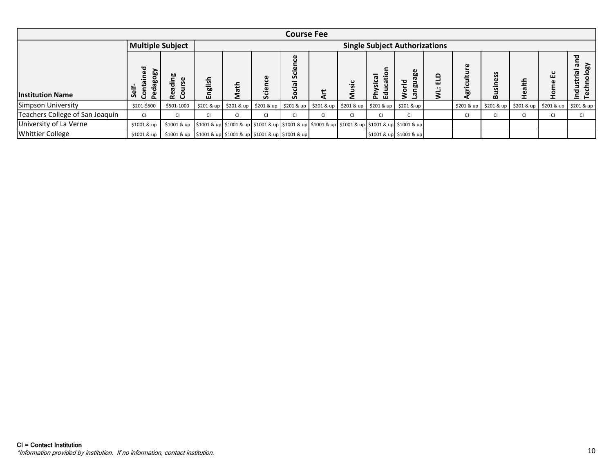|                                                                               | <b>Course Fee</b>              |                                                                                  |                                                                                  |                        |                        |                                                                                     |                                                                                  |            |                       |                                      |         |               |                        |            |            |                                     |
|-------------------------------------------------------------------------------|--------------------------------|----------------------------------------------------------------------------------|----------------------------------------------------------------------------------|------------------------|------------------------|-------------------------------------------------------------------------------------|----------------------------------------------------------------------------------|------------|-----------------------|--------------------------------------|---------|---------------|------------------------|------------|------------|-------------------------------------|
|                                                                               |                                | <b>Multiple Subject</b>                                                          |                                                                                  |                        |                        |                                                                                     |                                                                                  |            |                       | <b>Single Subject Authorizations</b> |         |               |                        |            |            |                                     |
| <b>Institution Name</b>                                                       | Contained<br>Pedagogy<br>Self- | Reading<br>Course                                                                | English                                                                          | Math                   | Science                | Social Science                                                                      | Art                                                                              | Music      | Education<br>Physical | <b>Language</b><br>World             | WL: ELD | Agriculture   | <b>Business</b>        | Health     | Home Ec    | Industrial and<br><b>Technology</b> |
| Simpson University                                                            | \$201-\$500                    | \$501-1000                                                                       | \$201 & up                                                                       | \$201 & up             | \$201 & up             | \$201 & up                                                                          | \$201 & up                                                                       | \$201 & up | \$201 & up            | \$201 & up                           |         | \$201 & up    | \$201 & up             | \$201 & up | \$201 & up | \$201 & up                          |
| Teachers College of San Joaquin                                               | $\mathsf{C}\mathsf{I}$         | $\mathsf{Cl}% (\mathcal{M}_{\mathrm{CL}}^{(1)}\mathcal{M}_{\mathrm{CL}}^{(2)}),$ | $\mathsf{Cl}% (\mathcal{M}_{\mathrm{CL}}^{(1)}\mathcal{M}_{\mathrm{CL}}^{(2)}),$ | $\mathsf{C}\mathsf{I}$ | $\mathsf{C}\mathsf{I}$ | $\mathsf{CI}$                                                                       | $\mathsf{Cl}% (\mathcal{M}_{\mathrm{CL}}^{(1)}\mathcal{M}_{\mathrm{CL}}^{(2)}),$ | CI         | CI                    | $\mathsf{C}\mathsf{I}$               |         | $\mathsf{CI}$ | $\mathsf{C}\mathsf{I}$ | CI         | CI         | CI                                  |
| University of La Verne                                                        | \$1001 & up                    |                                                                                  |                                                                                  |                        |                        | \$1001 & up \$1001 & up \$1001 & up \$1001 & up \$1001 & up \$1001 & up \$1001 & up |                                                                                  |            |                       | \$1001 & up \$1001 & up              |         |               |                        |            |            |                                     |
| <b>Whittier College</b>                                                       | \$1001 & up                    | \$1001 & up                                                                      |                                                                                  |                        |                        | \$1001 & up \$1001 & up \$1001 & up \$1001 & up                                     |                                                                                  |            |                       | \$1001 & up \$1001 & up              |         |               |                        |            |            |                                     |
| CI = Contact Institution                                                      |                                |                                                                                  |                                                                                  |                        |                        |                                                                                     |                                                                                  |            |                       |                                      |         |               |                        |            |            |                                     |
| *Information provided by institution. If no information, contact institution. |                                |                                                                                  |                                                                                  |                        |                        |                                                                                     |                                                                                  |            |                       |                                      |         |               |                        |            |            | 10                                  |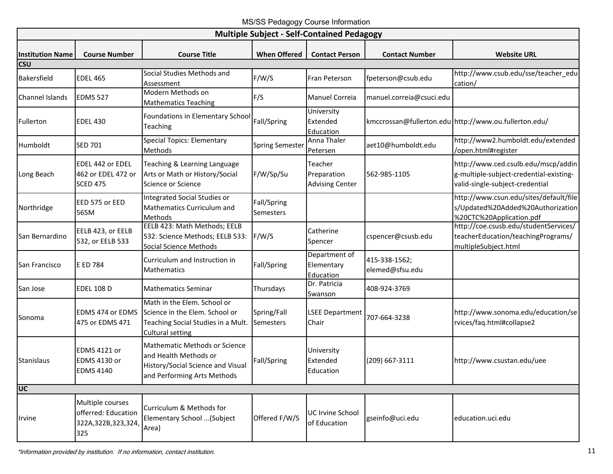MS/SS Pedagogy Course Information

<span id="page-12-0"></span>

|                           |                                                                         |                                                                                                                                   |                                 | <b>Multiple Subject - Self-Contained Pedagogy</b> |                                  |                                                                                                                   |
|---------------------------|-------------------------------------------------------------------------|-----------------------------------------------------------------------------------------------------------------------------------|---------------------------------|---------------------------------------------------|----------------------------------|-------------------------------------------------------------------------------------------------------------------|
| <b>Institution Name</b>   | <b>Course Number</b>                                                    | <b>Course Title</b>                                                                                                               | <b>When Offered</b>             | <b>Contact Person</b>                             | <b>Contact Number</b>            | <b>Website URL</b>                                                                                                |
| <b>CSU</b><br>Bakersfield | <b>EDEL 465</b>                                                         | Social Studies Methods and<br>Assessment                                                                                          | F/W/S                           | Fran Peterson                                     | fpeterson@csub.edu               | http://www.csub.edu/sse/teacher_edu<br>cation/                                                                    |
| Channel Islands           | <b>EDMS 527</b>                                                         | Modern Methods on<br><b>Mathematics Teaching</b>                                                                                  | F/S                             | Manuel Correia                                    | manuel.correia@csuci.edu         |                                                                                                                   |
| Fullerton                 | <b>EDEL 430</b>                                                         | Foundations in Elementary School<br>Teaching                                                                                      | Fall/Spring                     | University<br>Extended<br>Education               |                                  | kmccrossan@fullerton.edu http://www.ou.fullerton.edu/                                                             |
| Humboldt                  | <b>SED 701</b>                                                          | <b>Special Topics: Elementary</b><br>Methods                                                                                      | <b>Spring Semester</b>          | Anna Thaler<br>Petersen                           | aet10@humboldt.edu               | http://www2.humboldt.edu/extended<br>/open.html#register                                                          |
| Long Beach                | EDEL 442 or EDEL<br>462 or EDEL 472 or<br><b>SCED 475</b>               | Teaching & Learning Language<br>Arts or Math or History/Social<br>Science or Science                                              | F/W/Sp/Su                       | Teacher<br>Preparation<br><b>Advising Center</b>  | 562-985-1105                     | http://www.ced.csulb.edu/mscp/addin<br>g-multiple-subject-credential-existing-<br>valid-single-subject-credential |
| Northridge                | EED 575 or EED<br>565M                                                  | Integrated Social Studies or<br>Mathematics Curriculum and<br>Methods                                                             | Fall/Spring<br>Semesters        |                                                   |                                  | http://www.csun.edu/sites/default/file<br>s/Updated%20Added%20Authorization<br>%20CTC%20Application.pdf           |
| San Bernardino            | EELB 423, or EELB<br>532, or EELB 533                                   | EELB 423: Math Methods; EELB<br>532: Science Methods; EELB 533:<br><b>Social Science Methods</b>                                  | F/W/S                           | Catherine<br>Spencer                              | cspencer@csusb.edu               | http://coe.csusb.edu/studentServices/<br>teacherEducation/teachingPrograms/<br>multipleSubject.html               |
| San Francisco             | E ED 784                                                                | Curriculum and Instruction in<br>Mathematics                                                                                      | Fall/Spring                     | Department of<br>Elementary<br>Education          | 415-338-1562;<br>elemed@sfsu.edu |                                                                                                                   |
| San Jose                  | <b>EDEL 108 D</b>                                                       | <b>Mathematics Seminar</b>                                                                                                        | Thursdays                       | Dr. Patricia<br>Swanson                           | 408-924-3769                     |                                                                                                                   |
| Sonoma                    | EDMS 474 or EDMS<br>475 or EDMS 471                                     | Math in the Elem. School or<br>Science in the Elem. School or<br>Teaching Social Studies in a Mult.<br><b>Cultural setting</b>    | Spring/Fall<br><b>Semesters</b> | <b>LSEE Department</b><br>Chair                   | 707-664-3238                     | http://www.sonoma.edu/education/se<br>rvices/faq.html#collapse2                                                   |
| <b>Stanislaus</b>         | <b>EDMS 4121 or</b><br><b>EDMS 4130 or</b><br><b>EDMS 4140</b>          | <b>Mathematic Methods or Science</b><br>and Health Methods or<br>History/Social Science and Visual<br>and Performing Arts Methods | Fall/Spring                     | University<br>Extended<br>Education               | (209) 667-3111                   | http://www.csustan.edu/uee                                                                                        |
| <b>UC</b>                 |                                                                         |                                                                                                                                   |                                 |                                                   |                                  |                                                                                                                   |
| Irvine                    | Multiple courses<br>offerred: Education<br>322A, 322B, 323, 324,<br>325 | Curriculum & Methods for<br>Elementary School  (Subject<br>Area)                                                                  | Offered F/W/S                   | <b>UC Irvine School</b><br>of Education           | gseinfo@uci.edu                  | education.uci.edu                                                                                                 |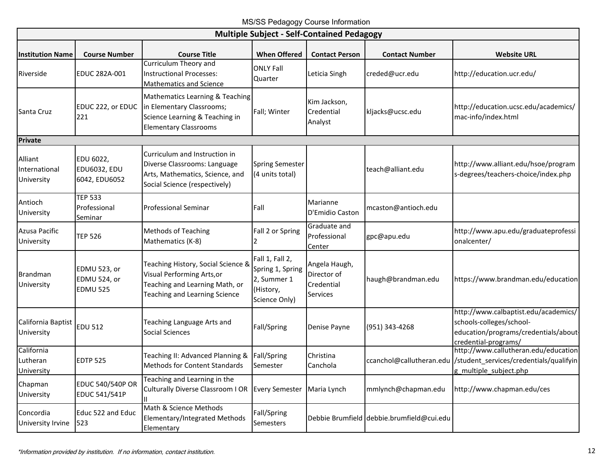| <b>Multiple Subject - Self-Contained Pedagogy</b> |                                                   |                                                                                                                                     |                                                                                  |                                                        |                                           |                                                                                                                                   |  |  |
|---------------------------------------------------|---------------------------------------------------|-------------------------------------------------------------------------------------------------------------------------------------|----------------------------------------------------------------------------------|--------------------------------------------------------|-------------------------------------------|-----------------------------------------------------------------------------------------------------------------------------------|--|--|
| <b>Institution Name</b>                           | <b>Course Number</b>                              | <b>Course Title</b>                                                                                                                 | <b>When Offered</b>                                                              | <b>Contact Person</b>                                  | <b>Contact Number</b>                     | <b>Website URL</b>                                                                                                                |  |  |
| Riverside                                         | EDUC 282A-001                                     | Curriculum Theory and<br><b>Instructional Processes:</b><br><b>Mathematics and Science</b>                                          | <b>ONLY Fall</b><br>Quarter                                                      | Leticia Singh                                          | creded@ucr.edu                            | http://education.ucr.edu/                                                                                                         |  |  |
| Santa Cruz                                        | EDUC 222, or EDUC<br>221                          | Mathematics Learning & Teaching<br>in Elementary Classrooms;<br>Science Learning & Teaching in<br><b>Elementary Classrooms</b>      | Fall; Winter                                                                     | Kim Jackson,<br>Credential<br>Analyst                  | kljacks@ucsc.edu                          | http://education.ucsc.edu/academics/<br>mac-info/index.html                                                                       |  |  |
| <b>Private</b>                                    |                                                   |                                                                                                                                     |                                                                                  |                                                        |                                           |                                                                                                                                   |  |  |
| Alliant<br>International<br>University            | EDU 6022,<br><b>EDU6032, EDU</b><br>6042, EDU6052 | Curriculum and Instruction in<br>Diverse Classrooms: Language<br>Arts, Mathematics, Science, and<br>Social Science (respectively)   | <b>Spring Semester</b><br>(4 units total)                                        |                                                        | teach@alliant.edu                         | http://www.alliant.edu/hsoe/program<br>s-degrees/teachers-choice/index.php                                                        |  |  |
| Antioch<br>University                             | <b>TEP 533</b><br>Professional<br>Seminar         | <b>Professional Seminar</b>                                                                                                         | Fall                                                                             | Marianne<br>D'Emidio Caston                            | mcaston@antioch.edu                       |                                                                                                                                   |  |  |
| Azusa Pacific<br>University                       | <b>TEP 526</b>                                    | <b>Methods of Teaching</b><br>Mathematics (K-8)                                                                                     | Fall 2 or Spring<br>$\overline{\phantom{a}}$                                     | Graduate and<br>Professional<br>Center                 | gpc@apu.edu                               | http://www.apu.edu/graduateprofessi<br>onalcenter/                                                                                |  |  |
| <b>Brandman</b><br>University                     | EDMU 523, or<br>EDMU 524, or<br><b>EDMU 525</b>   | Teaching History, Social Science &<br>Visual Performing Arts, or<br>Teaching and Learning Math, or<br>Teaching and Learning Science | Fall 1, Fall 2,<br>Spring 1, Spring<br>2, Summer 1<br>(History,<br>Science Only) | Angela Haugh,<br>Director of<br>Credential<br>Services | haugh@brandman.edu                        | https://www.brandman.edu/education                                                                                                |  |  |
| California Baptist<br>University                  | <b>EDU 512</b>                                    | Teaching Language Arts and<br>Social Sciences                                                                                       | Fall/Spring                                                                      | Denise Payne                                           | (951) 343-4268                            | http://www.calbaptist.edu/academics/<br>schools-colleges/school-<br>education/programs/credentials/about-<br>credential-programs/ |  |  |
| California<br>Lutheran<br>University              | <b>EDTP 525</b>                                   | Teaching II: Advanced Planning &<br>Methods for Content Standards                                                                   | Fall/Spring<br>Semester                                                          | Christina<br>Canchola                                  | ccanchol@callutheran.edu                  | http://www.callutheran.edu/education<br>/student_services/credentials/qualifyin<br>g multiple subject.php                         |  |  |
| Chapman<br>University                             | <b>EDUC 540/540P OR</b><br>EDUC 541/541P          | Teaching and Learning in the<br>Culturally Diverse Classroom I OR Every Semester                                                    |                                                                                  | Maria Lynch                                            | mmlynch@chapman.edu                       | http://www.chapman.edu/ces                                                                                                        |  |  |
| Concordia<br>University Irvine                    | Educ 522 and Educ<br>523                          | Math & Science Methods<br><b>Elementary/Integrated Methods</b><br>Elementary                                                        | Fall/Spring<br>Semesters                                                         |                                                        | Debbie Brumfield debbie.brumfield@cui.edu |                                                                                                                                   |  |  |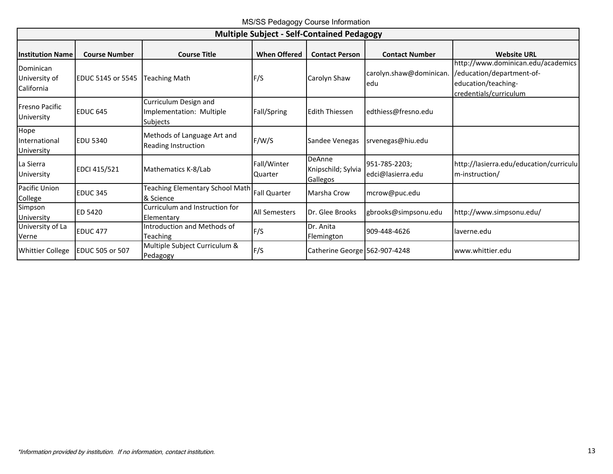MS/SS Pedagogy Course Information

| <b>Multiple Subject - Self-Contained Pedagogy</b> |                          |                                                                      |                               |                                                        |                                    |                                                                                                                  |  |  |
|---------------------------------------------------|--------------------------|----------------------------------------------------------------------|-------------------------------|--------------------------------------------------------|------------------------------------|------------------------------------------------------------------------------------------------------------------|--|--|
| <b>Institution Name</b>                           | <b>Course Number</b>     | <b>Course Title</b>                                                  | <b>When Offered</b>           | <b>Contact Person</b>                                  | <b>Contact Number</b>              | <b>Website URL</b>                                                                                               |  |  |
| Dominican<br>University of<br>California          | <b>EDUC 5145 or 5545</b> | <b>Teaching Math</b>                                                 | F/S                           | Carolyn Shaw                                           | carolyn.shaw@dominican.<br>edu     | http://www.dominican.edu/academics<br>/education/department-of-<br>education/teaching-<br>credentials/curriculum |  |  |
| <b>Fresno Pacific</b><br>University               | <b>EDUC 645</b>          | Curriculum Design and<br>Implementation: Multiple<br><b>Subjects</b> | Fall/Spring                   | <b>Edith Thiessen</b>                                  | edthiess@fresno.edu                |                                                                                                                  |  |  |
| Hope<br>International<br>University               | <b>EDU 5340</b>          | Methods of Language Art and<br>Reading Instruction                   | F/W/S                         | Sandee Venegas                                         | srvenegas@hiu.edu                  |                                                                                                                  |  |  |
| La Sierra<br>University                           | EDCI 415/521             | Mathematics K-8/Lab                                                  | Fall/Winter<br><b>Quarter</b> | <b>DeAnne</b><br>Knipschild; Sylvia<br><b>Gallegos</b> | 951-785-2203;<br>edci@lasierra.edu | http://lasierra.edu/education/curriculu<br>m-instruction/                                                        |  |  |
| Pacific Union<br>College                          | <b>EDUC 345</b>          | Teaching Elementary School Math<br>& Science                         | <b>Fall Quarter</b>           | Marsha Crow                                            | mcrow@puc.edu                      |                                                                                                                  |  |  |
| Simpson<br>University                             | ED 5420                  | Curriculum and Instruction for<br>Elementary                         | <b>All Semesters</b>          | Dr. Glee Brooks                                        | gbrooks@simpsonu.edu               | http://www.simpsonu.edu/                                                                                         |  |  |
| University of La<br>Verne                         | <b>EDUC 477</b>          | Introduction and Methods of<br><b>Teaching</b>                       | F/S                           | Dr. Anita<br>Flemington                                | 909-448-4626                       | laverne.edu                                                                                                      |  |  |
| <b>Whittier College</b>                           | <b>EDUC 505 or 507</b>   | Multiple Subject Curriculum &<br>Pedagogy                            | F/S                           | Catherine George 562-907-4248                          |                                    | www.whittier.edu                                                                                                 |  |  |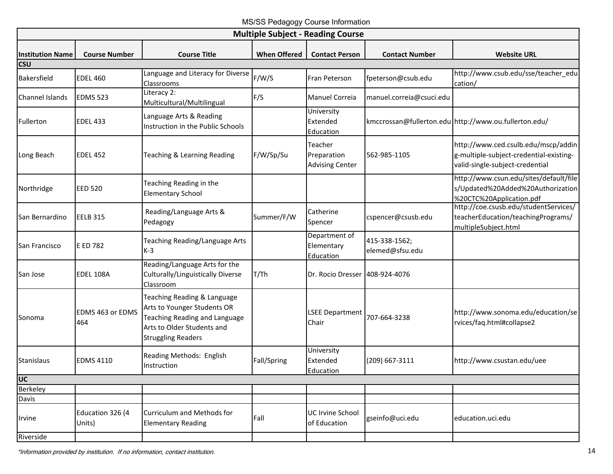MS/SS Pedagogy Course Information

<span id="page-15-0"></span>

|                                   |                            |                                                                                                                                                        |                     | <b>Multiple Subject - Reading Course</b>         |                                  |                                                                                                                   |
|-----------------------------------|----------------------------|--------------------------------------------------------------------------------------------------------------------------------------------------------|---------------------|--------------------------------------------------|----------------------------------|-------------------------------------------------------------------------------------------------------------------|
| <b>Institution Name</b>           | <b>Course Number</b>       | <b>Course Title</b>                                                                                                                                    | <b>When Offered</b> | <b>Contact Person</b>                            | <b>Contact Number</b>            | <b>Website URL</b>                                                                                                |
| <b>CSU</b>                        |                            | Language and Literacy for Diverse                                                                                                                      |                     |                                                  |                                  | http://www.csub.edu/sse/teacher_edu                                                                               |
| Bakersfield                       | <b>EDEL 460</b>            | Classrooms                                                                                                                                             | F/W/S               | Fran Peterson                                    | fpeterson@csub.edu               | cation/                                                                                                           |
| Channel Islands                   | <b>EDMS 523</b>            | Literacy 2:<br>Multicultural/Multilingual                                                                                                              | F/S                 | Manuel Correia                                   | manuel.correia@csuci.edu         |                                                                                                                   |
| Fullerton                         | <b>EDEL 433</b>            | Language Arts & Reading<br>Instruction in the Public Schools                                                                                           |                     | University<br>Extended<br>Education              |                                  | kmccrossan@fullerton.edu http://www.ou.fullerton.edu/                                                             |
| Long Beach                        | <b>EDEL 452</b>            | Teaching & Learning Reading                                                                                                                            | F/W/Sp/Su           | Teacher<br>Preparation<br><b>Advising Center</b> | 562-985-1105                     | http://www.ced.csulb.edu/mscp/addin<br>g-multiple-subject-credential-existing-<br>valid-single-subject-credential |
| Northridge                        | <b>EED 520</b>             | Teaching Reading in the<br><b>Elementary School</b>                                                                                                    |                     |                                                  |                                  | http://www.csun.edu/sites/default/file<br>s/Updated%20Added%20Authorization<br>%20CTC%20Application.pdf           |
| San Bernardino                    | <b>EELB 315</b>            | Reading/Language Arts &<br>Pedagogy                                                                                                                    | Summer/F/W          | Catherine<br>Spencer                             | cspencer@csusb.edu               | http://coe.csusb.edu/studentServices/<br>teacherEducation/teachingPrograms/<br>multipleSubject.html               |
| San Francisco                     | E ED 782                   | Teaching Reading/Language Arts<br>$K-3$                                                                                                                |                     | Department of<br>Elementary<br>Education         | 415-338-1562;<br>elemed@sfsu.edu |                                                                                                                   |
| San Jose                          | EDEL 108A                  | Reading/Language Arts for the<br>Culturally/Linguistically Diverse<br>Classroom                                                                        | T/Th                | Dr. Rocio Dresser                                | 408-924-4076                     |                                                                                                                   |
| Sonoma                            | EDMS 463 or EDMS<br>464    | Teaching Reading & Language<br>Arts to Younger Students OR<br>Teaching Reading and Language<br>Arts to Older Students and<br><b>Struggling Readers</b> |                     | <b>LSEE Department</b><br>Chair                  | 707-664-3238                     | http://www.sonoma.edu/education/se<br>rvices/faq.html#collapse2                                                   |
| <b>Stanislaus</b>                 | <b>EDMS 4110</b>           | Reading Methods: English<br>Instruction                                                                                                                | Fall/Spring         | University<br>Extended<br>Education              | (209) 667-3111                   | http://www.csustan.edu/uee                                                                                        |
| $\overline{\mathsf{U}\mathsf{C}}$ |                            |                                                                                                                                                        |                     |                                                  |                                  |                                                                                                                   |
| <b>Berkeley</b>                   |                            |                                                                                                                                                        |                     |                                                  |                                  |                                                                                                                   |
| Davis                             |                            |                                                                                                                                                        |                     |                                                  |                                  |                                                                                                                   |
| Irvine                            | Education 326 (4<br>Units) | Curriculum and Methods for<br><b>Elementary Reading</b>                                                                                                | Fall                | UC Irvine School<br>of Education                 | gseinfo@uci.edu                  | education.uci.edu                                                                                                 |
| Riverside                         |                            |                                                                                                                                                        |                     |                                                  |                                  |                                                                                                                   |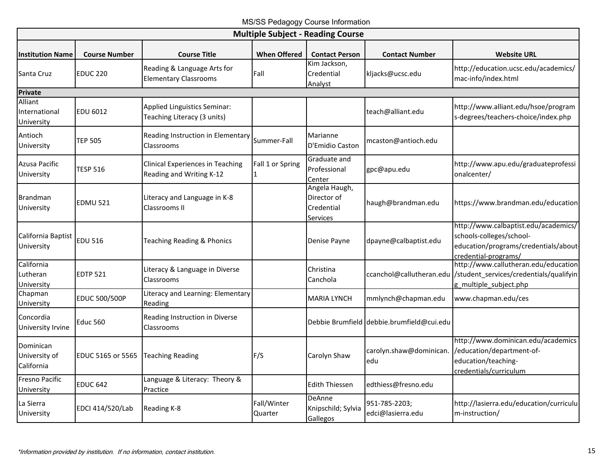MS/SS Pedagogy Course Information

|                                          | <b>Multiple Subject - Reading Course</b> |                                                                     |                        |                                                        |                                           |                                                                                                                                     |  |  |  |
|------------------------------------------|------------------------------------------|---------------------------------------------------------------------|------------------------|--------------------------------------------------------|-------------------------------------------|-------------------------------------------------------------------------------------------------------------------------------------|--|--|--|
| <b>Institution Name</b>                  | <b>Course Number</b>                     | <b>Course Title</b>                                                 | <b>When Offered</b>    | <b>Contact Person</b>                                  | <b>Contact Number</b>                     | <b>Website URL</b>                                                                                                                  |  |  |  |
| Santa Cruz                               | <b>EDUC 220</b>                          | Reading & Language Arts for<br><b>Elementary Classrooms</b>         | Fall                   | Kim Jackson,<br>Credential<br>Analyst                  | kljacks@ucsc.edu                          | http://education.ucsc.edu/academics/<br>mac-info/index.html                                                                         |  |  |  |
| Private                                  |                                          |                                                                     |                        |                                                        |                                           |                                                                                                                                     |  |  |  |
| Alliant<br>International<br>University   | EDU 6012                                 | Applied Linguistics Seminar:<br>Teaching Literacy (3 units)         |                        |                                                        | teach@alliant.edu                         | http://www.alliant.edu/hsoe/program<br>s-degrees/teachers-choice/index.php                                                          |  |  |  |
| Antioch<br>University                    | <b>TEP 505</b>                           | Reading Instruction in Elementary<br>Classrooms                     | Summer-Fall            | Marianne<br>D'Emidio Caston                            | mcaston@antioch.edu                       |                                                                                                                                     |  |  |  |
| Azusa Pacific<br>University              | <b>TESP 516</b>                          | <b>Clinical Experiences in Teaching</b><br>Reading and Writing K-12 | Fall 1 or Spring       | Graduate and<br>Professional<br>Center                 | gpc@apu.edu                               | http://www.apu.edu/graduateprofessi<br>onalcenter/                                                                                  |  |  |  |
| <b>Brandman</b><br>University            | EDMU 521                                 | Literacy and Language in K-8<br>Classrooms II                       |                        | Angela Haugh,<br>Director of<br>Credential<br>Services | haugh@brandman.edu                        | https://www.brandman.edu/education                                                                                                  |  |  |  |
| California Baptist<br>University         | <b>EDU 516</b>                           | <b>Teaching Reading &amp; Phonics</b>                               |                        | Denise Payne                                           | dpayne@calbaptist.edu                     | http://www.calbaptist.edu/academics/<br>schools-colleges/school-<br>education/programs/credentials/about-<br>credential-programs/   |  |  |  |
| California<br>Lutheran<br>University     | EDTP 521                                 | Literacy & Language in Diverse<br>Classrooms                        |                        | Christina<br>Canchola                                  |                                           | http://www.callutheran.edu/education<br>ccanchol@callutheran.edu //student_services/credentials/qualifyin<br>g_multiple_subject.php |  |  |  |
| Chapman<br>University                    | EDUC 500/500P                            | Literacy and Learning: Elementary<br>Reading                        |                        | <b>MARIA LYNCH</b>                                     | mmlynch@chapman.edu                       | www.chapman.edu/ces                                                                                                                 |  |  |  |
| Concordia<br>University Irvine           | <b>Educ 560</b>                          | Reading Instruction in Diverse<br>Classrooms                        |                        |                                                        | Debbie Brumfield debbie.brumfield@cui.edu |                                                                                                                                     |  |  |  |
| Dominican<br>University of<br>California | EDUC 5165 or 5565                        | <b>Teaching Reading</b>                                             | F/S                    | Carolyn Shaw                                           | carolyn.shaw@dominican.<br>edu            | http://www.dominican.edu/academics<br>/education/department-of-<br>education/teaching-<br>credentials/curriculum                    |  |  |  |
| <b>Fresno Pacific</b><br>University      | <b>EDUC 642</b>                          | Language & Literacy: Theory &<br>Practice                           |                        | <b>Edith Thiessen</b>                                  | edthiess@fresno.edu                       |                                                                                                                                     |  |  |  |
| La Sierra<br>University                  | EDCI 414/520/Lab                         | Reading K-8                                                         | Fall/Winter<br>Quarter | DeAnne<br>Knipschild; Sylvia<br>Gallegos               | 951-785-2203;<br>edci@lasierra.edu        | http://lasierra.edu/education/curriculu<br>m-instruction/                                                                           |  |  |  |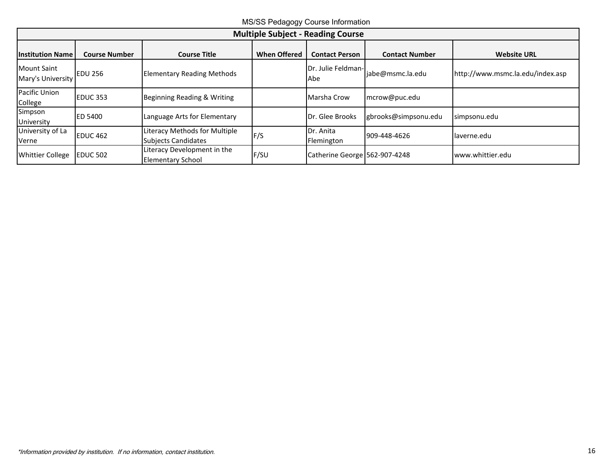MS/SS Pedagogy Course Information

| <b>Multiple Subject - Reading Course</b> |                      |                                                             |                     |                               |                       |                                  |  |  |
|------------------------------------------|----------------------|-------------------------------------------------------------|---------------------|-------------------------------|-----------------------|----------------------------------|--|--|
| <b>Institution Name</b>                  | <b>Course Number</b> | <b>Course Title</b>                                         | <b>When Offered</b> | <b>Contact Person</b>         | <b>Contact Number</b> | <b>Website URL</b>               |  |  |
| <b>Mount Saint</b><br>Mary's University  | <b>EDU 256</b>       | <b>Elementary Reading Methods</b>                           |                     | Dr. Julie Feldman-<br>Abe     | jabe@msmc.la.edu      | http://www.msmc.la.edu/index.asp |  |  |
| Pacific Union<br>College                 | EDUC <sub>353</sub>  | Beginning Reading & Writing                                 |                     | Marsha Crow                   | mcrow@puc.edu         |                                  |  |  |
| Simpson<br>University                    | <b>ED 5400</b>       | Language Arts for Elementary                                |                     | Dr. Glee Brooks               | gbrooks@simpsonu.edu  | simpsonu.edu                     |  |  |
| University of La<br>Verne                | <b>IEDUC 462</b>     | Literacy Methods for Multiple<br><b>Subjects Candidates</b> | F/S                 | Dr. Anita<br>Flemington       | 909-448-4626          | laverne.edu                      |  |  |
| <b>Whittier College</b>                  | EDUC 502             | Literacy Development in the<br><b>Elementary School</b>     | F/SU                | Catherine George 562-907-4248 |                       | www.whittier.edu                 |  |  |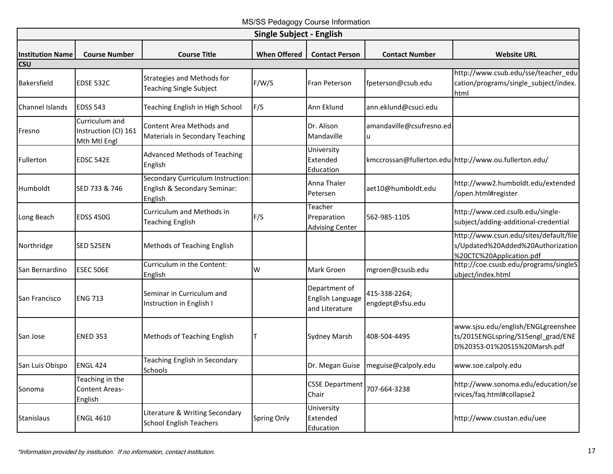MS/SS Pedagogy Course Information

<span id="page-18-0"></span>

| <b>Single Subject - English</b> |                                                        |                                                                              |                     |                                                     |                                   |                                                                                                          |  |  |
|---------------------------------|--------------------------------------------------------|------------------------------------------------------------------------------|---------------------|-----------------------------------------------------|-----------------------------------|----------------------------------------------------------------------------------------------------------|--|--|
| <b>Institution Name</b>         | <b>Course Number</b>                                   | <b>Course Title</b>                                                          | <b>When Offered</b> | <b>Contact Person</b>                               | <b>Contact Number</b>             | <b>Website URL</b>                                                                                       |  |  |
| csu                             |                                                        |                                                                              |                     |                                                     |                                   |                                                                                                          |  |  |
| Bakersfield                     | EDSE 532C                                              | Strategies and Methods for<br><b>Teaching Single Subject</b>                 | F/W/S               | Fran Peterson                                       | fpeterson@csub.edu                | http://www.csub.edu/sse/teacher_edu<br>cation/programs/single_subject/index.<br><b>html</b>              |  |  |
| Channel Islands                 | <b>EDSS 543</b>                                        | Teaching English in High School                                              | F/S                 | Ann Eklund                                          | ann.eklund@csuci.edu              |                                                                                                          |  |  |
| Fresno                          | Curriculum and<br>Instruction (CI) 161<br>Mth Mtl Engl | Content Area Methods and<br><b>Materials in Secondary Teaching</b>           |                     | Dr. Alison<br>Mandaville                            | amandaville@csufresno.ed<br>u     |                                                                                                          |  |  |
| Fullerton                       | <b>EDSC 542E</b>                                       | <b>Advanced Methods of Teaching</b><br>English                               |                     | University<br>Extended<br>Education                 |                                   | kmccrossan@fullerton.edu http://www.ou.fullerton.edu/                                                    |  |  |
| Humboldt                        | SED 733 & 746                                          | Secondary Curriculum Instruction:<br>English & Secondary Seminar:<br>English |                     | Anna Thaler<br>Petersen                             | aet10@humboldt.edu                | http://www2.humboldt.edu/extended<br>/open.html#register                                                 |  |  |
| Long Beach                      | <b>EDSS 450G</b>                                       | Curriculum and Methods in<br><b>Teaching English</b>                         | F/S                 | Teacher<br>Preparation<br><b>Advising Center</b>    | 562-985-1105                      | http://www.ced.csulb.edu/single-<br>subject/adding-additional-credential                                 |  |  |
| Northridge                      | <b>SED 525EN</b>                                       | Methods of Teaching English                                                  |                     |                                                     |                                   | http://www.csun.edu/sites/default/file<br>s/Updated%20Added%20Authorization<br>%20CTC%20Application.pdf  |  |  |
| San Bernardino                  | <b>ESEC 506E</b>                                       | Curriculum in the Content:<br>English                                        | W                   | Mark Groen                                          | mgroen@csusb.edu                  | http://coe.csusb.edu/programs/singleS<br>ubject/index.html                                               |  |  |
| San Francisco                   | <b>ENG 713</b>                                         | Seminar in Curriculum and<br>Instruction in English I                        |                     | Department of<br>English Language<br>and Literature | 415-338-2264;<br>engdept@sfsu.edu |                                                                                                          |  |  |
| San Jose                        | <b>ENED 353</b>                                        | Methods of Teaching English                                                  |                     | <b>Sydney Marsh</b>                                 | 408-504-4495                      | www.sjsu.edu/english/ENGLgreenshee<br>ts/2015ENGLspring/S15engl_grad/ENE<br>D%20353-01%20S15%20Marsh.pdf |  |  |
| San Luis Obispo                 | <b>ENGL 424</b>                                        | Teaching English in Secondary<br>Schools                                     |                     | Dr. Megan Guise                                     | meguise@calpoly.edu               | www.soe.calpoly.edu                                                                                      |  |  |
| Sonoma                          | Teaching in the<br>Content Areas-<br>English           |                                                                              |                     | <b>CSSE Department</b><br>Chair                     | 707-664-3238                      | http://www.sonoma.edu/education/se<br>rvices/faq.html#collapse2                                          |  |  |
| Stanislaus                      | <b>ENGL 4610</b>                                       | Literature & Writing Secondary<br><b>School English Teachers</b>             | Spring Only         | University<br>Extended<br>Education                 |                                   | http://www.csustan.edu/uee                                                                               |  |  |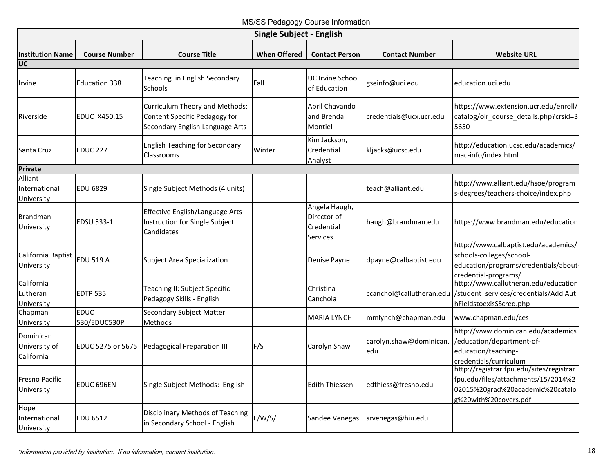MS/SS Pedagogy Course Information

| <b>Single Subject - English</b>          |                             |                                                                                                    |                     |                                                        |                                |                                                                                                                                               |  |  |
|------------------------------------------|-----------------------------|----------------------------------------------------------------------------------------------------|---------------------|--------------------------------------------------------|--------------------------------|-----------------------------------------------------------------------------------------------------------------------------------------------|--|--|
| <b>Institution Name</b><br>UC            | <b>Course Number</b>        | <b>Course Title</b>                                                                                | <b>When Offered</b> | <b>Contact Person</b>                                  | <b>Contact Number</b>          | <b>Website URL</b>                                                                                                                            |  |  |
| Irvine                                   | <b>Education 338</b>        | Teaching in English Secondary<br>Schools                                                           | Fall                | <b>UC Irvine School</b><br>of Education                | gseinfo@uci.edu                | education.uci.edu                                                                                                                             |  |  |
| Riverside                                | <b>EDUC X450.15</b>         | Curriculum Theory and Methods:<br>Content Specific Pedagogy for<br>Secondary English Language Arts |                     | Abril Chavando<br>and Brenda<br>Montiel                | credentials@ucx.ucr.edu        | https://www.extension.ucr.edu/enroll/<br>catalog/olr course details.php?crsid=3<br>5650                                                       |  |  |
| Santa Cruz                               | <b>EDUC 227</b>             | <b>English Teaching for Secondary</b><br>Classrooms                                                | Winter              | Kim Jackson,<br>Credential<br>Analyst                  | kljacks@ucsc.edu               | http://education.ucsc.edu/academics/<br>mac-info/index.html                                                                                   |  |  |
| <b>Private</b>                           |                             |                                                                                                    |                     |                                                        |                                |                                                                                                                                               |  |  |
| Alliant<br>International<br>University   | <b>EDU 6829</b>             | Single Subject Methods (4 units)                                                                   |                     |                                                        | teach@alliant.edu              | http://www.alliant.edu/hsoe/program<br>s-degrees/teachers-choice/index.php                                                                    |  |  |
| Brandman<br>University                   | EDSU 533-1                  | Effective English/Language Arts<br>Instruction for Single Subject<br>Candidates                    |                     | Angela Haugh,<br>Director of<br>Credential<br>Services | haugh@brandman.edu             | https://www.brandman.edu/education                                                                                                            |  |  |
| California Baptist<br>University         | <b>EDU 519 A</b>            | <b>Subject Area Specialization</b>                                                                 |                     | Denise Payne                                           | dpayne@calbaptist.edu          | http://www.calbaptist.edu/academics/<br>schools-colleges/school-<br>education/programs/credentials/about<br>credential-programs/              |  |  |
| California<br>Lutheran<br>University     | <b>EDTP 535</b>             | Teaching II: Subject Specific<br>Pedagogy Skills - English                                         |                     | Christina<br>Canchola                                  | ccanchol@callutheran.edu       | http://www.callutheran.edu/education<br>/student_services/credentials/AddlAut<br>hFieldstoexisSScred.php                                      |  |  |
| Chapman<br>University                    | <b>EDUC</b><br>530/EDUC530P | Secondary Subject Matter<br>Methods                                                                |                     | <b>MARIA LYNCH</b>                                     | mmlynch@chapman.edu            | www.chapman.edu/ces                                                                                                                           |  |  |
| Dominican<br>University of<br>California | EDUC 5275 or 5675           | <b>Pedagogical Preparation III</b>                                                                 | F/S                 | Carolyn Shaw                                           | carolyn.shaw@dominican.<br>edu | http://www.dominican.edu/academics<br>/education/department-of-<br>education/teaching-<br>credentials/curriculum                              |  |  |
| <b>Fresno Pacific</b><br>University      | EDUC 696EN                  | Single Subject Methods: English                                                                    |                     | <b>Edith Thiessen</b>                                  | edthiess@fresno.edu            | http://registrar.fpu.edu/sites/registrar.<br>fpu.edu/files/attachments/15/2014%2<br>02015%20grad%20academic%20catalo<br>g%20with%20covers.pdf |  |  |
| Hope<br>International<br>University      | EDU 6512                    | Disciplinary Methods of Teaching<br>in Secondary School - English                                  | F/W/S/              | Sandee Venegas                                         | srvenegas@hiu.edu              |                                                                                                                                               |  |  |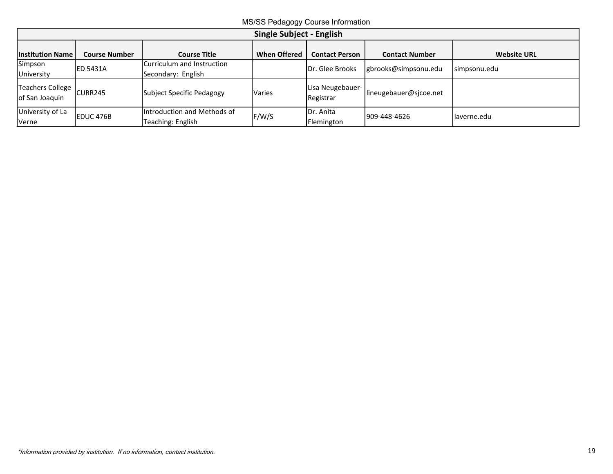MS/SS Pedagogy Course Information

| Single Subject - English                     |                      |                                                  |                     |                               |                        |                    |  |  |
|----------------------------------------------|----------------------|--------------------------------------------------|---------------------|-------------------------------|------------------------|--------------------|--|--|
| <b>Institution Name</b>                      | <b>Course Number</b> | Course Title                                     | <b>When Offered</b> | <b>Contact Person</b>         | <b>Contact Number</b>  | <b>Website URL</b> |  |  |
| Simpson<br>University                        | <b>ED 5431A</b>      | Curriculum and Instruction<br>Secondary: English |                     | Dr. Glee Brooks               | gbrooks@simpsonu.edu   | simpsonu.edu       |  |  |
| Teachers College   CURR245<br>of San Joaquin |                      | Subject Specific Pedagogy                        | Varies              | Lisa Neugebauer-<br>Registrar | lineugebauer@sicoe.net |                    |  |  |
| University of La<br>Verne                    | EDUC 476B            | Introduction and Methods of<br>Teaching: English | F/W/S               | Dr. Anita<br>Flemington       | 909-448-4626           | laverne.edu        |  |  |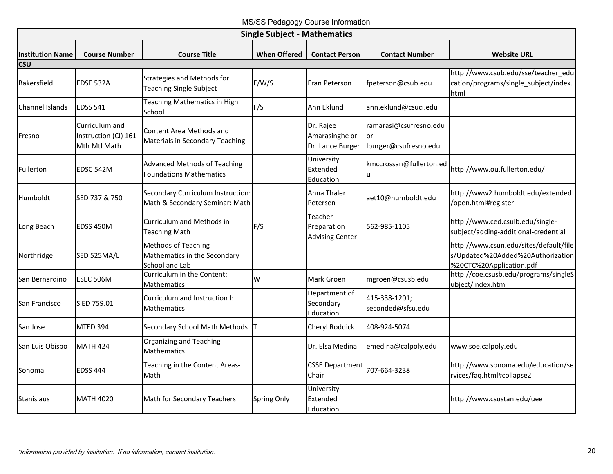MS/SS Pedagogy Course Information

<span id="page-21-0"></span>

| <b>Single Subject - Mathematics</b> |                                                        |                                                                              |                     |                                                  |                                                              |                                                                                                         |  |  |
|-------------------------------------|--------------------------------------------------------|------------------------------------------------------------------------------|---------------------|--------------------------------------------------|--------------------------------------------------------------|---------------------------------------------------------------------------------------------------------|--|--|
| lInstitution Name                   | <b>Course Number</b>                                   | <b>Course Title</b>                                                          | <b>When Offered</b> | <b>Contact Person</b>                            | <b>Contact Number</b>                                        | <b>Website URL</b>                                                                                      |  |  |
| <b>CSU</b>                          |                                                        |                                                                              |                     |                                                  |                                                              |                                                                                                         |  |  |
| Bakersfield                         | <b>EDSE 532A</b>                                       | <b>Strategies and Methods for</b><br><b>Teaching Single Subject</b>          | F/W/S               | Fran Peterson                                    | fpeterson@csub.edu                                           | http://www.csub.edu/sse/teacher_edu<br>cation/programs/single_subject/index.<br>html                    |  |  |
| <b>Channel Islands</b>              | <b>EDSS 541</b>                                        | Teaching Mathematics in High<br>School                                       | F/S                 | Ann Eklund                                       | ann.eklund@csuci.edu                                         |                                                                                                         |  |  |
| Fresno                              | Curriculum and<br>Instruction (CI) 161<br>Mth Mtl Math | Content Area Methods and<br>Materials in Secondary Teaching                  |                     | Dr. Rajee<br>Amarasinghe or<br>Dr. Lance Burger  | ramarasi@csufresno.edu<br><b>or</b><br>Iburger@csufresno.edu |                                                                                                         |  |  |
| Fullerton                           | <b>EDSC 542M</b>                                       | <b>Advanced Methods of Teaching</b><br><b>Foundations Mathematics</b>        |                     | University<br>Extended<br>Education              | kmccrossan@fullerton.ed<br>u                                 | http://www.ou.fullerton.edu/                                                                            |  |  |
| <b>Humboldt</b>                     | SED 737 & 750                                          | Secondary Curriculum Instruction:<br>Math & Secondary Seminar: Math          |                     | Anna Thaler<br>Petersen                          | aet10@humboldt.edu                                           | http://www2.humboldt.edu/extended<br>/open.html#register                                                |  |  |
| Long Beach                          | EDSS 450M                                              | Curriculum and Methods in<br><b>Teaching Math</b>                            | F/S                 | Teacher<br>Preparation<br><b>Advising Center</b> | 562-985-1105                                                 | http://www.ced.csulb.edu/single-<br>subject/adding-additional-credential                                |  |  |
| Northridge                          | SED 525MA/L                                            | <b>Methods of Teaching</b><br>Mathematics in the Secondary<br>School and Lab |                     |                                                  |                                                              | http://www.csun.edu/sites/default/file<br>s/Updated%20Added%20Authorization<br>%20CTC%20Application.pdf |  |  |
| San Bernardino                      | ESEC 506M                                              | Curriculum in the Content:<br><b>Mathematics</b>                             | W                   | Mark Groen                                       | mgroen@csusb.edu                                             | http://coe.csusb.edu/programs/singleS<br>ubject/index.html                                              |  |  |
| San Francisco                       | S ED 759.01                                            | Curriculum and Instruction I:<br><b>Mathematics</b>                          |                     | Department of<br>Secondary<br>Education          | 415-338-1201;<br>seconded@sfsu.edu                           |                                                                                                         |  |  |
| San Jose                            | <b>MTED 394</b>                                        | Secondary School Math Methods   T                                            |                     | Cheryl Roddick                                   | 408-924-5074                                                 |                                                                                                         |  |  |
| San Luis Obispo                     | <b>MATH 424</b>                                        | Organizing and Teaching<br>Mathematics                                       |                     | Dr. Elsa Medina                                  | emedina@calpoly.edu                                          | www.soe.calpoly.edu                                                                                     |  |  |
| Sonoma                              | <b>EDSS 444</b>                                        | Teaching in the Content Areas-<br>Math                                       |                     | <b>CSSE Department</b><br>Chair                  | 707-664-3238                                                 | http://www.sonoma.edu/education/se<br>rvices/faq.html#collapse2                                         |  |  |
| Stanislaus                          | <b>MATH 4020</b>                                       | Math for Secondary Teachers                                                  | Spring Only         | University<br>Extended<br>Education              |                                                              | http://www.csustan.edu/uee                                                                              |  |  |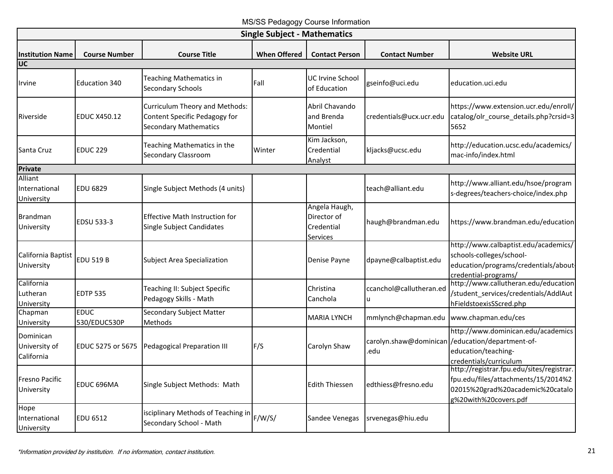MS/SS Pedagogy Course Information

| <b>Single Subject - Mathematics</b>                 |                             |                                                                                                 |                     |                                                        |                                |                                                                                                                                               |  |  |
|-----------------------------------------------------|-----------------------------|-------------------------------------------------------------------------------------------------|---------------------|--------------------------------------------------------|--------------------------------|-----------------------------------------------------------------------------------------------------------------------------------------------|--|--|
| <b>Institution Name</b><br>$\overline{\mathsf{UC}}$ | <b>Course Number</b>        | <b>Course Title</b>                                                                             | <b>When Offered</b> | <b>Contact Person</b>                                  | <b>Contact Number</b>          | <b>Website URL</b>                                                                                                                            |  |  |
| Irvine                                              | <b>Education 340</b>        | Teaching Mathematics in<br><b>Secondary Schools</b>                                             | Fall                | <b>UC Irvine School</b><br>of Education                | gseinfo@uci.edu                | education.uci.edu                                                                                                                             |  |  |
| Riverside                                           | <b>EDUC X450.12</b>         | Curriculum Theory and Methods:<br>Content Specific Pedagogy for<br><b>Secondary Mathematics</b> |                     | Abril Chavando<br>and Brenda<br>Montiel                | credentials@ucx.ucr.edu        | https://www.extension.ucr.edu/enroll/<br>catalog/olr_course_details.php?crsid=3<br>5652                                                       |  |  |
| Santa Cruz                                          | EDUC <sub>229</sub>         | Teaching Mathematics in the<br><b>Secondary Classroom</b>                                       | Winter              | Kim Jackson,<br>Credential<br>Analyst                  | kljacks@ucsc.edu               | http://education.ucsc.edu/academics/<br>mac-info/index.html                                                                                   |  |  |
| Private                                             |                             |                                                                                                 |                     |                                                        |                                |                                                                                                                                               |  |  |
| Alliant<br>International<br>University              | <b>EDU 6829</b>             | Single Subject Methods (4 units)                                                                |                     |                                                        | teach@alliant.edu              | http://www.alliant.edu/hsoe/program<br>s-degrees/teachers-choice/index.php                                                                    |  |  |
| <b>Brandman</b><br>University                       | EDSU 533-3                  | <b>Effective Math Instruction for</b><br>Single Subject Candidates                              |                     | Angela Haugh,<br>Director of<br>Credential<br>Services | haugh@brandman.edu             | https://www.brandman.edu/education                                                                                                            |  |  |
| California Baptist<br>University                    | <b>EDU 519 B</b>            | <b>Subject Area Specialization</b>                                                              |                     | Denise Payne                                           | dpayne@calbaptist.edu          | http://www.calbaptist.edu/academics/<br>schools-colleges/school-<br>education/programs/credentials/about-<br>credential-programs/             |  |  |
| California<br>Lutheran<br>University                | <b>EDTP 535</b>             | Teaching II: Subject Specific<br>Pedagogy Skills - Math                                         |                     | Christina<br>Canchola                                  | ccanchol@callutheran.ed<br>u   | http://www.callutheran.edu/education<br>/student_services/credentials/AddlAut<br>hFieldstoexisSScred.php                                      |  |  |
| Chapman<br>University                               | <b>EDUC</b><br>530/EDUC530P | Secondary Subject Matter<br>Methods                                                             |                     | <b>MARIA LYNCH</b>                                     | mmlynch@chapman.edu            | www.chapman.edu/ces                                                                                                                           |  |  |
| Dominican<br>University of<br>California            | EDUC 5275 or 5675           | Pedagogical Preparation III                                                                     | F/S                 | Carolyn Shaw                                           | carolyn.shaw@dominican<br>.edu | http://www.dominican.edu/academics<br>/education/department-of-<br>education/teaching-<br>credentials/curriculum                              |  |  |
| Fresno Pacific<br>University                        | EDUC 696MA                  | Single Subject Methods: Math                                                                    |                     | <b>Edith Thiessen</b>                                  | edthiess@fresno.edu            | http://registrar.fpu.edu/sites/registrar.<br>fpu.edu/files/attachments/15/2014%2<br>02015%20grad%20academic%20catalo<br>g%20with%20covers.pdf |  |  |
| Hope<br>International<br>University                 | <b>EDU 6512</b>             | isciplinary Methods of Teaching in<br>Secondary School - Math                                   | F/W/S/              | Sandee Venegas                                         | srvenegas@hiu.edu              |                                                                                                                                               |  |  |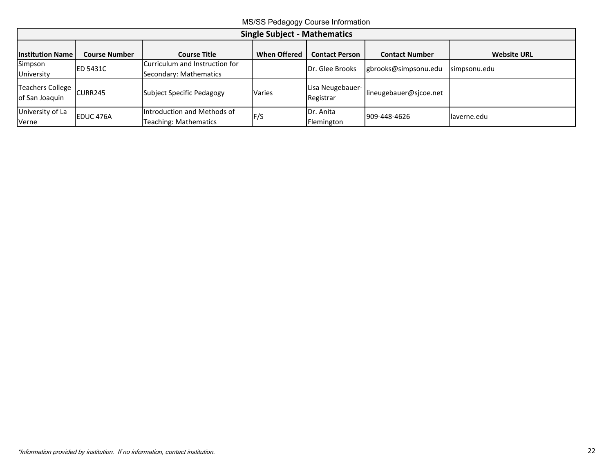MS/SS Pedagogy Course Information

| <b>Single Subject - Mathematics</b>          |                      |                                                             |                     |                               |                        |                    |  |  |
|----------------------------------------------|----------------------|-------------------------------------------------------------|---------------------|-------------------------------|------------------------|--------------------|--|--|
| <b>Institution Name</b>                      | <b>Course Number</b> | <b>Course Title</b>                                         | <b>When Offered</b> | <b>Contact Person</b>         | <b>Contact Number</b>  | <b>Website URL</b> |  |  |
| Simpson<br>University                        | <b>ED 5431C</b>      | Curriculum and Instruction for<br>Secondary: Mathematics    |                     | Dr. Glee Brooks               | gbrooks@simpsonu.edu   | simpsonu.edu       |  |  |
| Teachers College   CURR245<br>of San Joaquin |                      | Subject Specific Pedagogy                                   | <b>Varies</b>       | Lisa Neugebauer-<br>Registrar | lineugebauer@sjcoe.net |                    |  |  |
| University of La<br>Verne                    | EDUC 476A            | Introduction and Methods of<br><b>Teaching: Mathematics</b> | F/S                 | Dr. Anita<br>Flemington       | 909-448-4626           | laverne.edu        |  |  |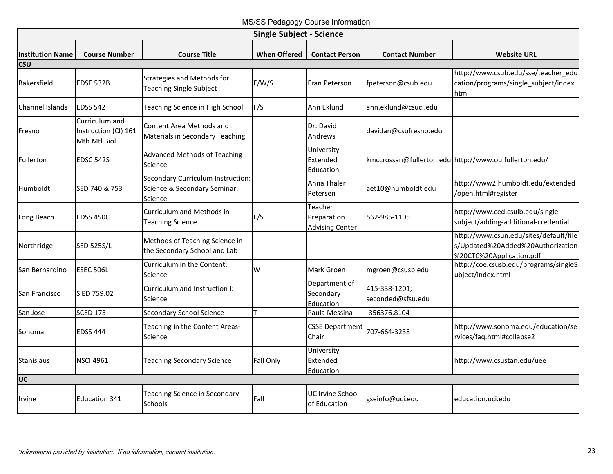MS/SS Pedagogy Course Information

<span id="page-24-0"></span>

| <b>Single Subject - Science</b> |                                                        |                                                                              |                     |                                                  |                                    |                                                                                                         |  |  |
|---------------------------------|--------------------------------------------------------|------------------------------------------------------------------------------|---------------------|--------------------------------------------------|------------------------------------|---------------------------------------------------------------------------------------------------------|--|--|
| <b>Institution Name</b>         | <b>Course Number</b>                                   | <b>Course Title</b>                                                          | <b>When Offered</b> | <b>Contact Person</b>                            | <b>Contact Number</b>              | <b>Website URL</b>                                                                                      |  |  |
| csu                             |                                                        |                                                                              |                     |                                                  |                                    |                                                                                                         |  |  |
| Bakersfield                     | <b>EDSE 532B</b>                                       | <b>Strategies and Methods for</b><br><b>Teaching Single Subject</b>          | F/W/S               | Fran Peterson                                    | fpeterson@csub.edu                 | http://www.csub.edu/sse/teacher edu<br>cation/programs/single subject/index.<br>html                    |  |  |
| Channel Islands                 | <b>EDSS 542</b>                                        | Teaching Science in High School                                              | F/S                 | Ann Eklund                                       | ann.eklund@csuci.edu               |                                                                                                         |  |  |
| Fresno                          | Curriculum and<br>Instruction (CI) 161<br>Mth Mtl Biol | Content Area Methods and<br><b>Materials in Secondary Teaching</b>           |                     | Dr. David<br>Andrews                             | davidan@csufresno.edu              |                                                                                                         |  |  |
| Fullerton                       | EDSC 542S                                              | <b>Advanced Methods of Teaching</b><br>Science                               |                     | University<br>Extended<br>Education              |                                    | kmccrossan@fullerton.edu http://www.ou.fullerton.edu/                                                   |  |  |
| Humboldt                        | SED 740 & 753                                          | Secondary Curriculum Instruction:<br>Science & Secondary Seminar:<br>Science |                     | Anna Thaler<br>Petersen                          | aet10@humboldt.edu                 | http://www2.humboldt.edu/extended<br>/open.html#register                                                |  |  |
| Long Beach                      | <b>EDSS 450C</b>                                       | Curriculum and Methods in<br><b>Teaching Science</b>                         | F/S                 | Teacher<br>Preparation<br><b>Advising Center</b> | 562-985-1105                       | http://www.ced.csulb.edu/single-<br>subject/adding-additional-credential                                |  |  |
| Northridge                      | <b>SED 525S/L</b>                                      | Methods of Teaching Science in<br>the Secondary School and Lab               |                     |                                                  |                                    | http://www.csun.edu/sites/default/file<br>s/Updated%20Added%20Authorization<br>%20CTC%20Application.pdf |  |  |
| San Bernardino                  | <b>ESEC 506L</b>                                       | Curriculum in the Content:<br>Science                                        | W                   | Mark Groen                                       | mgroen@csusb.edu                   | http://coe.csusb.edu/programs/singleS<br>ubject/index.html                                              |  |  |
| San Francisco                   | S ED 759.02                                            | Curriculum and Instruction I:<br>Science                                     |                     | Department of<br>Secondary<br>Education          | 415-338-1201;<br>seconded@sfsu.edu |                                                                                                         |  |  |
| San Jose                        | <b>SCED 173</b>                                        | Secondary School Science                                                     |                     | Paula Messina                                    | -356376.8104                       |                                                                                                         |  |  |
| Sonoma                          | <b>EDSS 444</b>                                        | Teaching in the Content Areas-<br>Science                                    |                     | <b>CSSE Department</b><br>Chair                  | 707-664-3238                       | http://www.sonoma.edu/education/se<br>rvices/faq.html#collapse2                                         |  |  |
| Stanislaus                      | <b>NSCI 4961</b>                                       | <b>Teaching Secondary Science</b>                                            | Fall Only           | University<br>Extended<br>Education              |                                    | http://www.csustan.edu/uee                                                                              |  |  |
| $\overline{\mathsf{UC}}$        |                                                        |                                                                              |                     |                                                  |                                    |                                                                                                         |  |  |
| Irvine                          | <b>Education 341</b>                                   | Teaching Science in Secondary<br><b>Schools</b>                              | Fall                | UC Irvine School<br>of Education                 | gseinfo@uci.edu                    | education.uci.edu                                                                                       |  |  |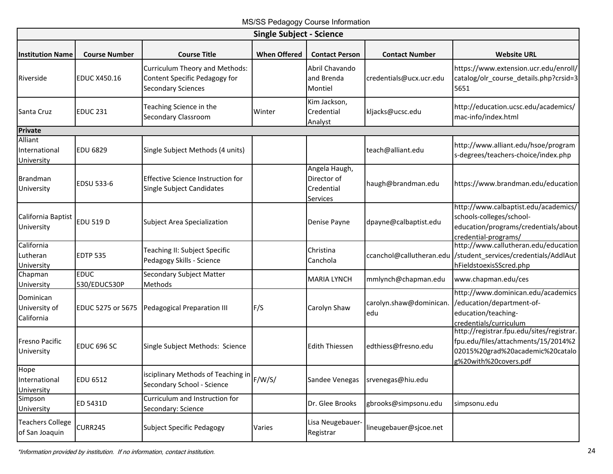MS/SS Pedagogy Course Information

| <b>Single Subject - Science</b>           |                             |                                                                                              |                     |                                                        |                               |                                                                                                                                               |  |  |
|-------------------------------------------|-----------------------------|----------------------------------------------------------------------------------------------|---------------------|--------------------------------------------------------|-------------------------------|-----------------------------------------------------------------------------------------------------------------------------------------------|--|--|
| <b>Institution Name</b>                   | <b>Course Number</b>        | <b>Course Title</b>                                                                          | <b>When Offered</b> | <b>Contact Person</b>                                  | <b>Contact Number</b>         | <b>Website URL</b>                                                                                                                            |  |  |
| Riverside                                 | <b>EDUC X450.16</b>         | Curriculum Theory and Methods:<br>Content Specific Pedagogy for<br><b>Secondary Sciences</b> |                     | Abril Chavando<br>and Brenda<br>Montiel                | credentials@ucx.ucr.edu       | https://www.extension.ucr.edu/enroll/<br>catalog/olr course details.php?crsid=3<br>5651                                                       |  |  |
| Santa Cruz                                | <b>EDUC 231</b>             | Teaching Science in the<br>Secondary Classroom                                               | Winter              | Kim Jackson,<br>Credential<br>Analyst                  | kljacks@ucsc.edu              | http://education.ucsc.edu/academics/<br>mac-info/index.html                                                                                   |  |  |
| Private                                   |                             |                                                                                              |                     |                                                        |                               |                                                                                                                                               |  |  |
| Alliant<br>International<br>University    | <b>EDU 6829</b>             | Single Subject Methods (4 units)                                                             |                     |                                                        | teach@alliant.edu             | http://www.alliant.edu/hsoe/program<br>s-degrees/teachers-choice/index.php                                                                    |  |  |
| <b>Brandman</b><br>University             | EDSU 533-6                  | Effective Science Instruction for<br>Single Subject Candidates                               |                     | Angela Haugh,<br>Director of<br>Credential<br>Services | haugh@brandman.edu            | https://www.brandman.edu/education                                                                                                            |  |  |
| California Baptist<br>University          | <b>EDU 519 D</b>            | <b>Subject Area Specialization</b>                                                           |                     | Denise Payne                                           | dpayne@calbaptist.edu         | http://www.calbaptist.edu/academics/<br>schools-colleges/school-<br>education/programs/credentials/about-<br>credential-programs/             |  |  |
| California<br>Lutheran<br>University      | <b>EDTP 535</b>             | Teaching II: Subject Specific<br>Pedagogy Skills - Science                                   |                     | Christina<br>Canchola                                  | ccanchol@callutheran.edu      | http://www.callutheran.edu/education<br>/student_services/credentials/AddlAut<br>hFieldstoexisSScred.php                                      |  |  |
| Chapman<br>University                     | <b>EDUC</b><br>530/EDUC530P | Secondary Subject Matter<br>Methods                                                          |                     | <b>MARIA LYNCH</b>                                     | mmlynch@chapman.edu           | www.chapman.edu/ces                                                                                                                           |  |  |
| Dominican<br>University of<br>California  | EDUC 5275 or 5675           | <b>Pedagogical Preparation III</b>                                                           | F/S                 | Carolyn Shaw                                           | carolyn.shaw@dominican<br>edu | http://www.dominican.edu/academics<br>/education/department-of-<br>education/teaching-<br>credentials/curriculum                              |  |  |
| <b>Fresno Pacific</b><br>University       | EDUC 696 SC                 | Single Subject Methods: Science                                                              |                     | <b>Edith Thiessen</b>                                  | edthiess@fresno.edu           | http://registrar.fpu.edu/sites/registrar.<br>fpu.edu/files/attachments/15/2014%2<br>02015%20grad%20academic%20catalo<br>g%20with%20covers.pdf |  |  |
| Hope<br>International<br>University       | <b>EDU 6512</b>             | isciplinary Methods of Teaching in<br>Secondary School - Science                             | F/W/S/              | Sandee Venegas                                         | srvenegas@hiu.edu             |                                                                                                                                               |  |  |
| Simpson<br>University                     | ED 5431D                    | Curriculum and Instruction for<br>Secondary: Science                                         |                     | Dr. Glee Brooks                                        | gbrooks@simpsonu.edu          | simpsonu.edu                                                                                                                                  |  |  |
| <b>Teachers College</b><br>of San Joaquin | <b>CURR245</b>              | <b>Subject Specific Pedagogy</b>                                                             | Varies              | Lisa Neugebauer-<br>Registrar                          | lineugebauer@sjcoe.net        |                                                                                                                                               |  |  |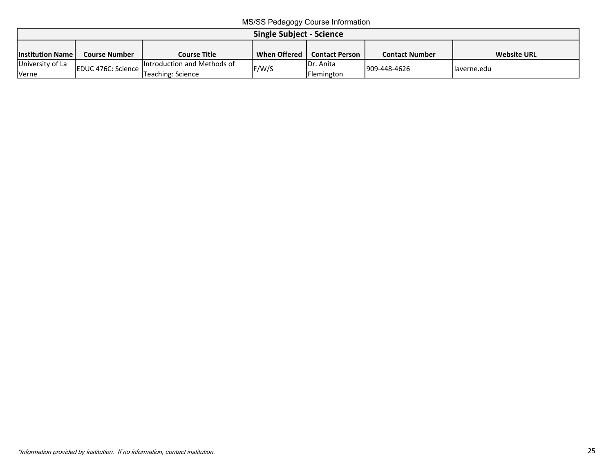MS/SS Pedagogy Course Information

| <b>Single Subject - Science</b>                                                                                                                                       |                    |                                                  |       |                                 |              |              |  |
|-----------------------------------------------------------------------------------------------------------------------------------------------------------------------|--------------------|--------------------------------------------------|-------|---------------------------------|--------------|--------------|--|
| <b>When Offered</b><br><b>Website URL</b><br><b>Course Title</b><br><b>Contact Person</b><br><b>Contact Number</b><br><b>Institution Name</b><br><b>Course Number</b> |                    |                                                  |       |                                 |              |              |  |
| University of La<br>Verne                                                                                                                                             | EDUC 476C: Science | Introduction and Methods of<br>Teaching: Science | F/W/S | <b>IDr. Anita</b><br>Flemington | 909-448-4626 | llaverne.edu |  |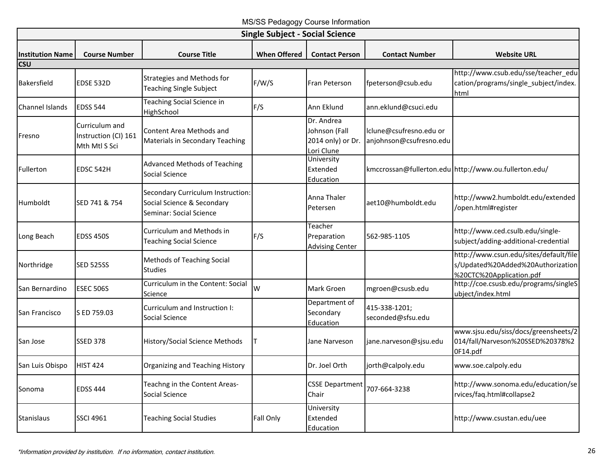MS/SS Pedagogy Course Information

<span id="page-27-0"></span>

| <b>Single Subject - Social Science</b> |                                                         |                                                                                            |                     |                                                                |                                                    |                                                                                                         |  |  |
|----------------------------------------|---------------------------------------------------------|--------------------------------------------------------------------------------------------|---------------------|----------------------------------------------------------------|----------------------------------------------------|---------------------------------------------------------------------------------------------------------|--|--|
| <b>Institution Name</b><br><b>CSU</b>  | <b>Course Number</b>                                    | <b>Course Title</b>                                                                        | <b>When Offered</b> | <b>Contact Person</b>                                          | <b>Contact Number</b>                              | <b>Website URL</b>                                                                                      |  |  |
| Bakersfield                            | <b>EDSE 532D</b>                                        | Strategies and Methods for<br><b>Teaching Single Subject</b>                               | F/W/S               | <b>Fran Peterson</b>                                           | fpeterson@csub.edu                                 | http://www.csub.edu/sse/teacher_edu<br>cation/programs/single subject/index.<br><b>html</b>             |  |  |
| Channel Islands                        | <b>EDSS 544</b>                                         | Teaching Social Science in<br>HighSchool                                                   | F/S                 | Ann Eklund                                                     | ann.eklund@csuci.edu                               |                                                                                                         |  |  |
| Fresno                                 | Curriculum and<br>Instruction (CI) 161<br>Mth Mtl S Sci | <b>Content Area Methods and</b><br><b>Materials in Secondary Teaching</b>                  |                     | Dr. Andrea<br>Johnson (Fall<br>2014 only) or Dr.<br>Lori Clune | Iclune@csufresno.edu or<br>anjohnson@csufresno.edu |                                                                                                         |  |  |
| Fullerton                              | EDSC 542H                                               | <b>Advanced Methods of Teaching</b><br>Social Science                                      |                     | University<br>Extended<br>Education                            |                                                    | kmccrossan@fullerton.edu http://www.ou.fullerton.edu/                                                   |  |  |
| Humboldt                               | SED 741 & 754                                           | Secondary Curriculum Instruction:<br>Social Science & Secondary<br>Seminar: Social Science |                     | Anna Thaler<br>Petersen                                        | aet10@humboldt.edu                                 | http://www2.humboldt.edu/extended<br>/open.html#register                                                |  |  |
| Long Beach                             | <b>EDSS 450S</b>                                        | Curriculum and Methods in<br><b>Teaching Social Science</b>                                | F/S                 | Teacher<br>Preparation<br><b>Advising Center</b>               | 562-985-1105                                       | http://www.ced.csulb.edu/single-<br>subject/adding-additional-credential                                |  |  |
| Northridge                             | <b>SED 525SS</b>                                        | <b>Methods of Teaching Social</b><br><b>Studies</b>                                        |                     |                                                                |                                                    | http://www.csun.edu/sites/default/file<br>s/Updated%20Added%20Authorization<br>%20CTC%20Application.pdf |  |  |
| San Bernardino                         | <b>ESEC 506S</b>                                        | Curriculum in the Content: Social<br>Science                                               | W                   | Mark Groen                                                     | mgroen@csusb.edu                                   | http://coe.csusb.edu/programs/singleS<br>ubject/index.html                                              |  |  |
| <b>San Francisco</b>                   | S ED 759.03                                             | Curriculum and Instruction I:<br>Social Science                                            |                     | Department of<br>Secondary<br>Education                        | 415-338-1201;<br>seconded@sfsu.edu                 |                                                                                                         |  |  |
| San Jose                               | <b>SSED 378</b>                                         | History/Social Science Methods                                                             |                     | Jane Narveson                                                  | jane.narveson@sjsu.edu                             | www.sjsu.edu/siss/docs/greensheets/2<br>014/fall/Narveson%20SSED%20378%2<br>OF14.pdf                    |  |  |
| San Luis Obispo                        | <b>HIST 424</b>                                         | Organizing and Teaching History                                                            |                     | Dr. Joel Orth                                                  | jorth@calpoly.edu                                  | www.soe.calpoly.edu                                                                                     |  |  |
| Sonoma                                 | <b>EDSS 444</b>                                         | Teachng in the Content Areas-<br>Social Science                                            |                     | <b>CSSE Department</b><br>Chair                                | 707-664-3238                                       | http://www.sonoma.edu/education/se<br>rvices/faq.html#collapse2                                         |  |  |
| Stanislaus                             | <b>SSCI 4961</b>                                        | <b>Teaching Social Studies</b>                                                             | Fall Only           | University<br>Extended<br>Education                            |                                                    | http://www.csustan.edu/uee                                                                              |  |  |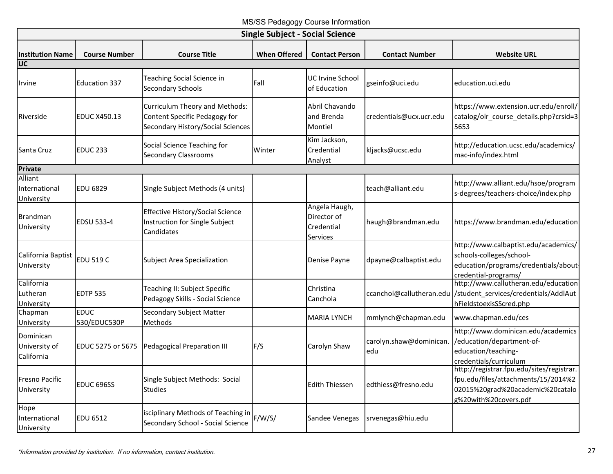MS/SS Pedagogy Course Information

| <b>Single Subject - Social Science</b>              |                             |                                                                                                      |                     |                                                        |                               |                                                                                                                                               |  |  |
|-----------------------------------------------------|-----------------------------|------------------------------------------------------------------------------------------------------|---------------------|--------------------------------------------------------|-------------------------------|-----------------------------------------------------------------------------------------------------------------------------------------------|--|--|
| <b>Institution Name</b><br>$\overline{\mathsf{UC}}$ | <b>Course Number</b>        | <b>Course Title</b>                                                                                  | <b>When Offered</b> | <b>Contact Person</b>                                  | <b>Contact Number</b>         | <b>Website URL</b>                                                                                                                            |  |  |
| Irvine                                              | <b>Education 337</b>        | Teaching Social Science in<br><b>Secondary Schools</b>                                               | Fall                | <b>UC Irvine School</b><br>of Education                | gseinfo@uci.edu               | education.uci.edu                                                                                                                             |  |  |
| Riverside                                           | <b>EDUC X450.13</b>         | Curriculum Theory and Methods:<br>Content Specific Pedagogy for<br>Secondary History/Social Sciences |                     | Abril Chavando<br>and Brenda<br>Montiel                | credentials@ucx.ucr.edu       | https://www.extension.ucr.edu/enroll/<br>catalog/olr_course_details.php?crsid=3<br>5653                                                       |  |  |
| Santa Cruz                                          | <b>EDUC 233</b>             | Social Science Teaching for<br><b>Secondary Classrooms</b>                                           | Winter              | Kim Jackson,<br>Credential<br>Analyst                  | kljacks@ucsc.edu              | http://education.ucsc.edu/academics/<br>mac-info/index.html                                                                                   |  |  |
| Private                                             |                             |                                                                                                      |                     |                                                        |                               |                                                                                                                                               |  |  |
| Alliant<br>International<br>University              | <b>EDU 6829</b>             | Single Subject Methods (4 units)                                                                     |                     |                                                        | teach@alliant.edu             | http://www.alliant.edu/hsoe/program<br>s-degrees/teachers-choice/index.php                                                                    |  |  |
| <b>Brandman</b><br>University                       | EDSU 533-4                  | <b>Effective History/Social Science</b><br>Instruction for Single Subject<br>Candidates              |                     | Angela Haugh,<br>Director of<br>Credential<br>Services | haugh@brandman.edu            | https://www.brandman.edu/education                                                                                                            |  |  |
| California Baptist<br>University                    | <b>EDU 519 C</b>            | <b>Subject Area Specialization</b>                                                                   |                     | Denise Payne                                           | dpayne@calbaptist.edu         | http://www.calbaptist.edu/academics/<br>schools-colleges/school-<br>education/programs/credentials/about<br>credential-programs/              |  |  |
| California<br>Lutheran<br>University                | <b>EDTP 535</b>             | Teaching II: Subject Specific<br>Pedagogy Skills - Social Science                                    |                     | Christina<br>Canchola                                  | ccanchol@callutheran.edu      | http://www.callutheran.edu/education<br>/student_services/credentials/AddlAut<br>hFieldstoexisSScred.php                                      |  |  |
| Chapman<br>University                               | <b>EDUC</b><br>530/EDUC530P | Secondary Subject Matter<br>Methods                                                                  |                     | <b>MARIA LYNCH</b>                                     | mmlynch@chapman.edu           | www.chapman.edu/ces                                                                                                                           |  |  |
| Dominican<br>University of<br>California            | EDUC 5275 or 5675           | Pedagogical Preparation III                                                                          | F/S                 | Carolyn Shaw                                           | carolyn.shaw@dominican<br>edu | http://www.dominican.edu/academics<br>/education/department-of-<br>education/teaching-<br>credentials/curriculum                              |  |  |
| Fresno Pacific<br>University                        | EDUC 696SS                  | Single Subject Methods: Social<br><b>Studies</b>                                                     |                     | <b>Edith Thiessen</b>                                  | edthiess@fresno.edu           | http://registrar.fpu.edu/sites/registrar.<br>fpu.edu/files/attachments/15/2014%2<br>02015%20grad%20academic%20catalo<br>g%20with%20covers.pdf |  |  |
| Hope<br>International<br>University                 | EDU 6512                    | isciplinary Methods of Teaching in<br>Secondary School - Social Science                              | F/W/S/              | Sandee Venegas                                         | srvenegas@hiu.edu             |                                                                                                                                               |  |  |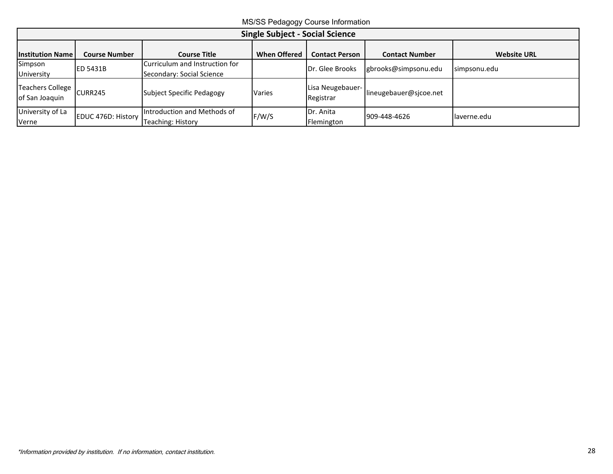MS/SS Pedagogy Course Information

| <b>Single Subject - Social Science</b> |                      |                                                             |                     |                               |                        |                    |  |  |
|----------------------------------------|----------------------|-------------------------------------------------------------|---------------------|-------------------------------|------------------------|--------------------|--|--|
| <b>Institution Name</b>                | <b>Course Number</b> | <b>Course Title</b>                                         | <b>When Offered</b> | <b>Contact Person</b>         | <b>Contact Number</b>  | <b>Website URL</b> |  |  |
| Simpson<br>University                  | <b>ED 5431B</b>      | Curriculum and Instruction for<br>Secondary: Social Science |                     | Dr. Glee Brooks               | gbrooks@simpsonu.edu   | simpsonu.edu       |  |  |
| Teachers College<br>of San Joaquin     | <b>CURR245</b>       | Subject Specific Pedagogy                                   | Varies              | Lisa Neugebauer-<br>Registrar | lineugebauer@sjcoe.net |                    |  |  |
| University of La<br>Verne              | EDUC 476D: History   | Introduction and Methods of<br>Teaching: History            | F/W/S               | Dr. Anita<br>Flemington       | 909-448-4626           | llaverne.edu       |  |  |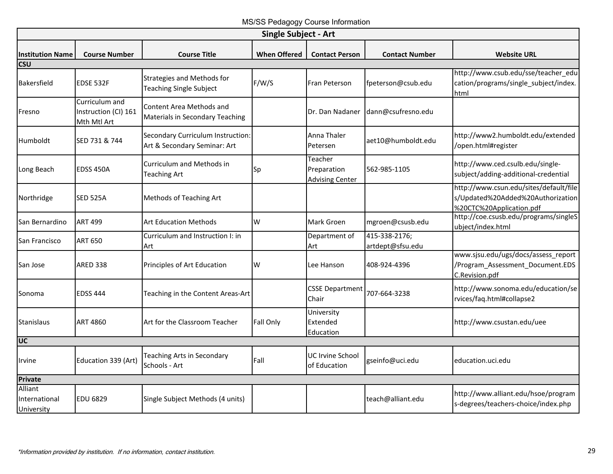# MS/SS Pedagogy Course Information

<span id="page-30-0"></span>

| <b>Single Subject - Art</b>            |                                                       |                                                                   |                     |                                                  |                                   |                                                                                                         |  |  |  |
|----------------------------------------|-------------------------------------------------------|-------------------------------------------------------------------|---------------------|--------------------------------------------------|-----------------------------------|---------------------------------------------------------------------------------------------------------|--|--|--|
| <b>Institution Name</b>                | <b>Course Number</b>                                  | <b>Course Title</b>                                               | <b>When Offered</b> | <b>Contact Person</b>                            | <b>Contact Number</b>             | <b>Website URL</b>                                                                                      |  |  |  |
| <b>CSU</b>                             |                                                       |                                                                   |                     |                                                  |                                   |                                                                                                         |  |  |  |
| Bakersfield                            | <b>EDSE 532F</b>                                      | Strategies and Methods for<br><b>Teaching Single Subject</b>      | F/W/S               | Fran Peterson                                    | fpeterson@csub.edu                | http://www.csub.edu/sse/teacher_edu<br>cation/programs/single subject/index.<br>html                    |  |  |  |
| Fresno                                 | Curriculum and<br>Instruction (CI) 161<br>Mth Mtl Art | Content Area Methods and<br>Materials in Secondary Teaching       |                     | Dr. Dan Nadaner                                  | dann@csufresno.edu                |                                                                                                         |  |  |  |
| Humboldt                               | SED 731 & 744                                         | Secondary Curriculum Instruction:<br>Art & Secondary Seminar: Art |                     | Anna Thaler<br>Petersen                          | aet10@humboldt.edu                | http://www2.humboldt.edu/extended<br>/open.html#register                                                |  |  |  |
| Long Beach                             | EDSS 450A                                             | Curriculum and Methods in<br><b>Teaching Art</b>                  | Sp                  | Teacher<br>Preparation<br><b>Advising Center</b> | 562-985-1105                      | http://www.ced.csulb.edu/single-<br>subject/adding-additional-credential                                |  |  |  |
| Northridge                             | <b>SED 525A</b>                                       | Methods of Teaching Art                                           |                     |                                                  |                                   | http://www.csun.edu/sites/default/file<br>s/Updated%20Added%20Authorization<br>%20CTC%20Application.pdf |  |  |  |
| San Bernardino                         | <b>ART 499</b>                                        | <b>Art Education Methods</b>                                      | W                   | Mark Groen                                       | mgroen@csusb.edu                  | http://coe.csusb.edu/programs/singleS<br>ubject/index.html                                              |  |  |  |
| San Francisco                          | <b>ART 650</b>                                        | Curriculum and Instruction I: in<br>Art                           |                     | Department of<br>Art                             | 415-338-2176;<br>artdept@sfsu.edu |                                                                                                         |  |  |  |
| San Jose                               | <b>ARED 338</b>                                       | Principles of Art Education                                       | W                   | Lee Hanson                                       | 408-924-4396                      | www.sjsu.edu/ugs/docs/assess report<br>/Program_Assessment_Document.EDS<br>C.Revision.pdf               |  |  |  |
| Sonoma                                 | <b>EDSS 444</b>                                       | Teaching in the Content Areas-Art                                 |                     | <b>CSSE Department</b><br>Chair                  | 707-664-3238                      | http://www.sonoma.edu/education/se<br>rvices/faq.html#collapse2                                         |  |  |  |
| Stanislaus                             | ART 4860                                              | Art for the Classroom Teacher                                     | Fall Only           | University<br>Extended<br>Education              |                                   | http://www.csustan.edu/uee                                                                              |  |  |  |
| <b>UC</b>                              |                                                       |                                                                   |                     |                                                  |                                   |                                                                                                         |  |  |  |
| Irvine                                 | Education 339 (Art)                                   | <b>Teaching Arts in Secondary</b><br>Schools - Art                | Fall                | UC Irvine School<br>of Education                 | gseinfo@uci.edu                   | education.uci.edu                                                                                       |  |  |  |
| <b>Private</b>                         |                                                       |                                                                   |                     |                                                  |                                   |                                                                                                         |  |  |  |
| Alliant<br>International<br>University | <b>EDU 6829</b>                                       | Single Subject Methods (4 units)                                  |                     |                                                  | teach@alliant.edu                 | http://www.alliant.edu/hsoe/program<br>s-degrees/teachers-choice/index.php                              |  |  |  |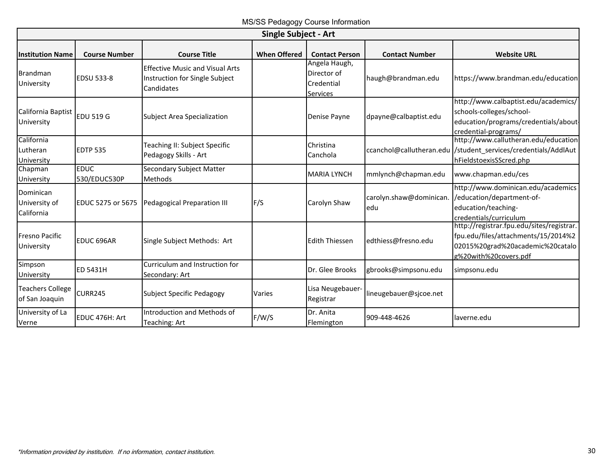|                                           | <b>Single Subject - Art</b> |                                                                                        |                     |                                                               |                                |                                                                                                                                               |  |  |  |
|-------------------------------------------|-----------------------------|----------------------------------------------------------------------------------------|---------------------|---------------------------------------------------------------|--------------------------------|-----------------------------------------------------------------------------------------------------------------------------------------------|--|--|--|
| <b>Institution Name</b>                   | <b>Course Number</b>        | <b>Course Title</b>                                                                    | <b>When Offered</b> | <b>Contact Person</b>                                         | <b>Contact Number</b>          | <b>Website URL</b>                                                                                                                            |  |  |  |
| Brandman<br>University                    | <b>EDSU 533-8</b>           | <b>Effective Music and Visual Arts</b><br>Instruction for Single Subject<br>Candidates |                     | Angela Haugh,<br>Director of<br>Credential<br><b>Services</b> | haugh@brandman.edu             | https://www.brandman.edu/education                                                                                                            |  |  |  |
| California Baptist<br>University          | <b>EDU 519 G</b>            | Subject Area Specialization                                                            |                     | Denise Payne                                                  | dpayne@calbaptist.edu          | http://www.calbaptist.edu/academics/<br>schools-colleges/school-<br>education/programs/credentials/about<br>credential-programs/              |  |  |  |
| California<br>Lutheran<br>University      | <b>EDTP 535</b>             | Teaching II: Subject Specific<br>Pedagogy Skills - Art                                 |                     | Christina<br>Canchola                                         |                                | http://www.callutheran.edu/education<br>ccanchol@callutheran.edu //student services/credentials/AddlAut<br>hFieldstoexisSScred.php            |  |  |  |
| Chapman<br>University                     | <b>EDUC</b><br>530/EDUC530P | Secondary Subject Matter<br>Methods                                                    |                     | <b>MARIA LYNCH</b>                                            | mmlynch@chapman.edu            | www.chapman.edu/ces                                                                                                                           |  |  |  |
| Dominican<br>University of<br>California  | <b>EDUC 5275 or 5675</b>    | Pedagogical Preparation III                                                            | F/S                 | Carolyn Shaw                                                  | carolyn.shaw@dominican.<br>edu | http://www.dominican.edu/academics<br>/education/department-of-<br>education/teaching-<br>credentials/curriculum                              |  |  |  |
| <b>Fresno Pacific</b><br>University       | EDUC 696AR                  | Single Subject Methods: Art                                                            |                     | <b>Edith Thiessen</b>                                         | edthiess@fresno.edu            | http://registrar.fpu.edu/sites/registrar.<br>fpu.edu/files/attachments/15/2014%2<br>02015%20grad%20academic%20catalo<br>g%20with%20covers.pdf |  |  |  |
| Simpson<br>University                     | <b>ED 5431H</b>             | Curriculum and Instruction for<br>Secondary: Art                                       |                     | Dr. Glee Brooks                                               | gbrooks@simpsonu.edu           | simpsonu.edu                                                                                                                                  |  |  |  |
| <b>Teachers College</b><br>of San Joaquin | CURR245                     | Subject Specific Pedagogy                                                              | Varies              | Lisa Neugebauer-<br>Registrar                                 | lineugebauer@sjcoe.net         |                                                                                                                                               |  |  |  |
| University of La<br>Verne                 | EDUC 476H: Art              | Introduction and Methods of<br>Teaching: Art                                           | F/W/S               | Dr. Anita<br>Flemington                                       | 909-448-4626                   | laverne.edu                                                                                                                                   |  |  |  |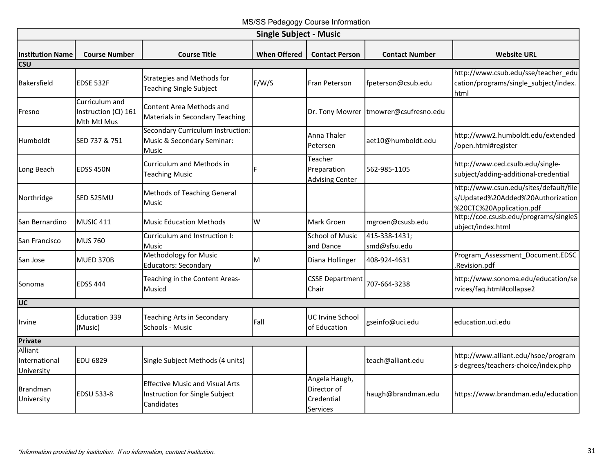MS/SS Pedagogy Course Information

<span id="page-32-0"></span>

|                                        | <b>Single Subject - Music</b>                         |                                                                                        |                     |                                                        |                               |                                                                                                         |  |  |  |
|----------------------------------------|-------------------------------------------------------|----------------------------------------------------------------------------------------|---------------------|--------------------------------------------------------|-------------------------------|---------------------------------------------------------------------------------------------------------|--|--|--|
| <b>Institution Name</b>                | <b>Course Number</b>                                  | <b>Course Title</b>                                                                    | <b>When Offered</b> | <b>Contact Person</b>                                  | <b>Contact Number</b>         | <b>Website URL</b>                                                                                      |  |  |  |
| csu                                    |                                                       |                                                                                        |                     |                                                        |                               |                                                                                                         |  |  |  |
| <b>Bakersfield</b>                     | EDSE 532F                                             | <b>Strategies and Methods for</b><br><b>Teaching Single Subject</b>                    | F/W/S               | Fran Peterson                                          | fpeterson@csub.edu            | http://www.csub.edu/sse/teacher edu<br>cation/programs/single subject/index.<br>html                    |  |  |  |
| Fresno                                 | Curriculum and<br>Instruction (CI) 161<br>Mth Mtl Mus | Content Area Methods and<br>Materials in Secondary Teaching                            |                     | Dr. Tony Mowrer                                        | tmowrer@csufresno.edu         |                                                                                                         |  |  |  |
| Humboldt                               | SED 737 & 751                                         | Secondary Curriculum Instruction:<br>Music & Secondary Seminar:<br>Music               |                     | Anna Thaler<br>Petersen                                | aet10@humboldt.edu            | http://www2.humboldt.edu/extended<br>/open.html#register                                                |  |  |  |
| Long Beach                             | <b>EDSS 450N</b>                                      | Curriculum and Methods in<br><b>Teaching Music</b>                                     |                     | Teacher<br>Preparation<br><b>Advising Center</b>       | 562-985-1105                  | http://www.ced.csulb.edu/single-<br>subject/adding-additional-credential                                |  |  |  |
| Northridge                             | SED 525MU                                             | Methods of Teaching General<br>Music                                                   |                     |                                                        |                               | http://www.csun.edu/sites/default/file<br>s/Updated%20Added%20Authorization<br>%20CTC%20Application.pdf |  |  |  |
| San Bernardino                         | MUSIC 411                                             | <b>Music Education Methods</b>                                                         | W                   | Mark Groen                                             | mgroen@csusb.edu              | http://coe.csusb.edu/programs/singleS<br>ubject/index.html                                              |  |  |  |
| <b>San Francisco</b>                   | <b>MUS 760</b>                                        | Curriculum and Instruction I:<br><b>Music</b>                                          |                     | <b>School of Music</b><br>and Dance                    | 415-338-1431;<br>smd@sfsu.edu |                                                                                                         |  |  |  |
| San Jose                               | <b>MUED 370B</b>                                      | <b>Methodology for Music</b><br><b>Educators: Secondary</b>                            | M                   | Diana Hollinger                                        | 408-924-4631                  | Program Assessment Document.EDSC<br>.Revision.pdf                                                       |  |  |  |
| Sonoma                                 | <b>EDSS 444</b>                                       | Teaching in the Content Areas-<br>Musicd                                               |                     | <b>CSSE Department</b><br>Chair                        | 707-664-3238                  | http://www.sonoma.edu/education/se<br>rvices/faq.html#collapse2                                         |  |  |  |
| UC                                     |                                                       |                                                                                        |                     |                                                        |                               |                                                                                                         |  |  |  |
| <b>Irvine</b>                          | <b>Education 339</b><br>(Music)                       | Teaching Arts in Secondary<br>Schools - Music                                          | Fall                | <b>UC Irvine School</b><br>of Education                | gseinfo@uci.edu               | education.uci.edu                                                                                       |  |  |  |
| Private                                |                                                       |                                                                                        |                     |                                                        |                               |                                                                                                         |  |  |  |
| Alliant<br>International<br>University | <b>EDU 6829</b>                                       | Single Subject Methods (4 units)                                                       |                     |                                                        | teach@alliant.edu             | http://www.alliant.edu/hsoe/program<br>s-degrees/teachers-choice/index.php                              |  |  |  |
| <b>Brandman</b><br>University          | <b>EDSU 533-8</b>                                     | <b>Effective Music and Visual Arts</b><br>Instruction for Single Subject<br>Candidates |                     | Angela Haugh,<br>Director of<br>Credential<br>Services | haugh@brandman.edu            | https://www.brandman.edu/education                                                                      |  |  |  |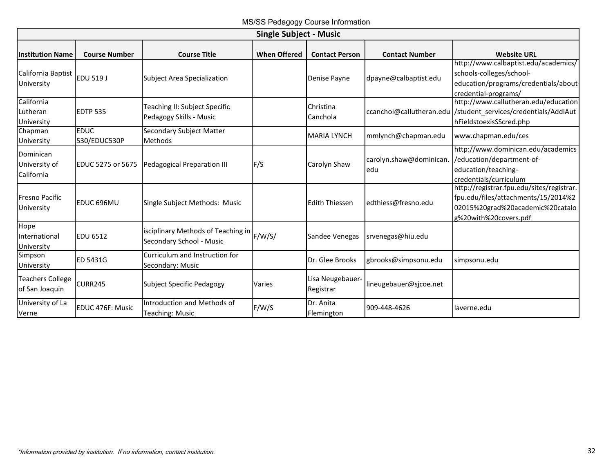|                                           |                             |                                                                | <b>Single Subject - Music</b> |                               |                                |                                                                                                                                               |
|-------------------------------------------|-----------------------------|----------------------------------------------------------------|-------------------------------|-------------------------------|--------------------------------|-----------------------------------------------------------------------------------------------------------------------------------------------|
| <b>Institution Name</b>                   | <b>Course Number</b>        | <b>Course Title</b>                                            | <b>When Offered</b>           | <b>Contact Person</b>         | <b>Contact Number</b>          | <b>Website URL</b>                                                                                                                            |
| California Baptist<br>University          | <b>EDU 519 J</b>            | <b>Subject Area Specialization</b>                             |                               | Denise Payne                  | dpayne@calbaptist.edu          | http://www.calbaptist.edu/academics/<br>schools-colleges/school-<br>education/programs/credentials/about-<br>credential-programs/             |
| California<br>Lutheran<br>University      | <b>EDTP 535</b>             | Teaching II: Subject Specific<br>Pedagogy Skills - Music       |                               | Christina<br>Canchola         |                                | http://www.callutheran.edu/education<br>ccanchol@callutheran.edu //student services/credentials/AddlAut<br>hFieldstoexisSScred.php            |
| Chapman<br>University                     | <b>EDUC</b><br>530/EDUC530P | Secondary Subject Matter<br>Methods                            |                               | <b>MARIA LYNCH</b>            | mmlynch@chapman.edu            | www.chapman.edu/ces                                                                                                                           |
| Dominican<br>University of<br>California  | <b>EDUC 5275 or 5675</b>    | Pedagogical Preparation III                                    | F/S                           | Carolyn Shaw                  | carolyn.shaw@dominican.<br>edu | http://www.dominican.edu/academics<br>/education/department-of-<br>education/teaching-<br>credentials/curriculum                              |
| <b>Fresno Pacific</b><br>University       | EDUC 696MU                  | Single Subject Methods: Music                                  |                               | <b>Edith Thiessen</b>         | edthiess@fresno.edu            | http://registrar.fpu.edu/sites/registrar.<br>fpu.edu/files/attachments/15/2014%2<br>02015%20grad%20academic%20catalo<br>g%20with%20covers.pdf |
| Hope<br>International<br>University       | <b>EDU 6512</b>             | isciplinary Methods of Teaching in<br>Secondary School - Music | F/W/S/                        | Sandee Venegas                | srvenegas@hiu.edu              |                                                                                                                                               |
| Simpson<br>University                     | ED 5431G                    | Curriculum and Instruction for<br>Secondary: Music             |                               | Dr. Glee Brooks               | gbrooks@simpsonu.edu           | simpsonu.edu                                                                                                                                  |
| <b>Teachers College</b><br>of San Joaquin | <b>CURR245</b>              | <b>Subject Specific Pedagogy</b>                               | Varies                        | Lisa Neugebauer-<br>Registrar | lineugebauer@sjcoe.net         |                                                                                                                                               |
| University of La<br>Verne                 | EDUC 476F: Music            | Introduction and Methods of<br><b>Teaching: Music</b>          | F/W/S                         | Dr. Anita<br>Flemington       | 909-448-4626                   | laverne.edu                                                                                                                                   |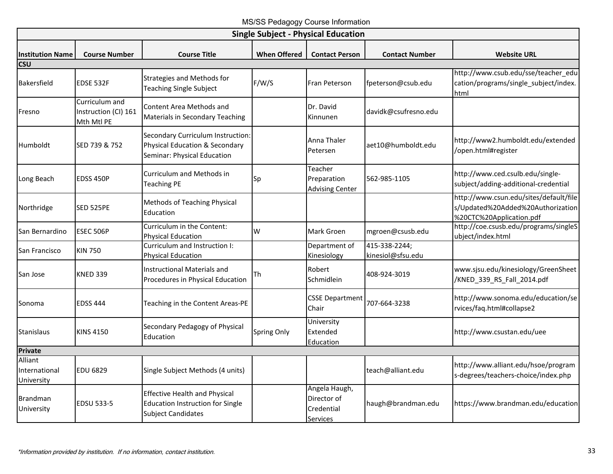## MS/SS Pedagogy Course Information

<span id="page-34-0"></span>

|                                        |                                                      |                                                                                                              |                     | <b>Single Subject - Physical Education</b>             |                                    |                                                                                                         |  |  |
|----------------------------------------|------------------------------------------------------|--------------------------------------------------------------------------------------------------------------|---------------------|--------------------------------------------------------|------------------------------------|---------------------------------------------------------------------------------------------------------|--|--|
| <b>Institution Name</b>                | <b>Course Number</b>                                 | <b>Course Title</b>                                                                                          | <b>When Offered</b> | <b>Contact Person</b>                                  | <b>Contact Number</b>              | <b>Website URL</b>                                                                                      |  |  |
| <b>CSU</b>                             |                                                      |                                                                                                              |                     |                                                        |                                    |                                                                                                         |  |  |
| Bakersfield                            | EDSE 532F                                            | <b>Strategies and Methods for</b><br><b>Teaching Single Subject</b>                                          | F/W/S               | Fran Peterson                                          | fpeterson@csub.edu                 | http://www.csub.edu/sse/teacher_edu<br>cation/programs/single_subject/index.<br>html                    |  |  |
| Fresno                                 | Curriculum and<br>Instruction (CI) 161<br>Mth Mtl PE | Content Area Methods and<br>Materials in Secondary Teaching                                                  |                     | Dr. David<br>Kinnunen                                  | davidk@csufresno.edu               |                                                                                                         |  |  |
| Humboldt                               | SED 739 & 752                                        | Secondary Curriculum Instruction:<br>Physical Education & Secondary<br>Seminar: Physical Education           |                     | Anna Thaler<br>Petersen                                | aet10@humboldt.edu                 | http://www2.humboldt.edu/extended<br>/open.html#register                                                |  |  |
| Long Beach                             | <b>EDSS 450P</b>                                     | Curriculum and Methods in<br><b>Teaching PE</b>                                                              | Sp                  | Teacher<br>Preparation<br><b>Advising Center</b>       | 562-985-1105                       | http://www.ced.csulb.edu/single-<br>subject/adding-additional-credential                                |  |  |
| Northridge                             | SED 525PE                                            | Methods of Teaching Physical<br>Education                                                                    |                     |                                                        |                                    | http://www.csun.edu/sites/default/file<br>s/Updated%20Added%20Authorization<br>%20CTC%20Application.pdf |  |  |
| San Bernardino                         | <b>ESEC 506P</b>                                     | Curriculum in the Content:<br><b>Physical Education</b>                                                      | W                   | Mark Groen                                             | mgroen@csusb.edu                   | http://coe.csusb.edu/programs/singleS<br>ubject/index.html                                              |  |  |
| San Francisco                          | <b>KIN 750</b>                                       | Curriculum and Instruction I:<br><b>Physical Education</b>                                                   |                     | Department of<br>Kinesiology                           | 415-338-2244;<br>kinesiol@sfsu.edu |                                                                                                         |  |  |
| San Jose                               | <b>KNED 339</b>                                      | <b>Instructional Materials and</b><br>Procedures in Physical Education                                       | Th                  | Robert<br>Schmidlein                                   | 408-924-3019                       | www.sjsu.edu/kinesiology/GreenSheet<br>/KNED_339_RS_Fall_2014.pdf                                       |  |  |
| Sonoma                                 | <b>EDSS 444</b>                                      | Teaching in the Content Areas-PE                                                                             |                     | <b>CSSE Department</b><br>Chair                        | 707-664-3238                       | http://www.sonoma.edu/education/se<br>rvices/faq.html#collapse2                                         |  |  |
| <b>Stanislaus</b>                      | <b>KINS 4150</b>                                     | Secondary Pedagogy of Physical<br>Education                                                                  | Spring Only         | University<br>Extended<br>Education                    |                                    | http://www.csustan.edu/uee                                                                              |  |  |
| <b>Private</b>                         |                                                      |                                                                                                              |                     |                                                        |                                    |                                                                                                         |  |  |
| Alliant<br>International<br>University | <b>EDU 6829</b>                                      | Single Subject Methods (4 units)                                                                             |                     |                                                        | teach@alliant.edu                  | http://www.alliant.edu/hsoe/program<br>s-degrees/teachers-choice/index.php                              |  |  |
| <b>Brandman</b><br>University          | EDSU 533-5                                           | <b>Effective Health and Physical</b><br><b>Education Instruction for Single</b><br><b>Subject Candidates</b> |                     | Angela Haugh,<br>Director of<br>Credential<br>Services | haugh@brandman.edu                 | https://www.brandman.edu/education                                                                      |  |  |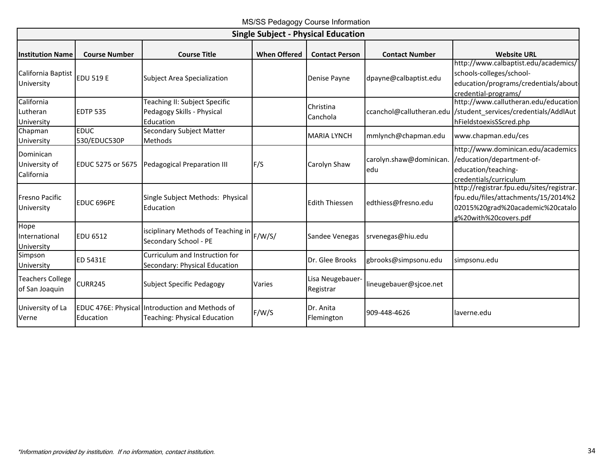|                                           | <b>Single Subject - Physical Education</b> |                                                                                        |                     |                               |                                |                                                                                                                                               |  |  |  |  |
|-------------------------------------------|--------------------------------------------|----------------------------------------------------------------------------------------|---------------------|-------------------------------|--------------------------------|-----------------------------------------------------------------------------------------------------------------------------------------------|--|--|--|--|
| <b>Institution Name</b>                   | <b>Course Number</b>                       | <b>Course Title</b>                                                                    | <b>When Offered</b> | <b>Contact Person</b>         | <b>Contact Number</b>          | <b>Website URL</b>                                                                                                                            |  |  |  |  |
| California Baptist<br>University          | <b>EDU 519 E</b>                           | <b>Subject Area Specialization</b>                                                     |                     | Denise Payne                  | dpayne@calbaptist.edu          | http://www.calbaptist.edu/academics/<br>schools-colleges/school-<br>education/programs/credentials/about-<br>credential-programs/             |  |  |  |  |
| California<br>Lutheran<br>University      | <b>EDTP 535</b>                            | Teaching II: Subject Specific<br>Pedagogy Skills - Physical<br>Education               |                     | Christina<br>Canchola         |                                | http://www.callutheran.edu/education<br>ccanchol@callutheran.edu /student services/credentials/AddlAut<br>hFieldstoexisSScred.php             |  |  |  |  |
| Chapman<br>University                     | <b>EDUC</b><br>530/EDUC530P                | <b>Secondary Subject Matter</b><br>Methods                                             |                     | <b>MARIA LYNCH</b>            | mmlynch@chapman.edu            | www.chapman.edu/ces                                                                                                                           |  |  |  |  |
| Dominican<br>University of<br>California  | <b>EDUC 5275 or 5675</b>                   | Pedagogical Preparation III                                                            | F/S                 | Carolyn Shaw                  | carolyn.shaw@dominican.<br>edu | http://www.dominican.edu/academics<br>/education/department-of-<br>education/teaching-<br>credentials/curriculum                              |  |  |  |  |
| <b>Fresno Pacific</b><br>University       | EDUC 696PE                                 | Single Subject Methods: Physical<br>Education                                          |                     | <b>Edith Thiessen</b>         | edthiess@fresno.edu            | http://registrar.fpu.edu/sites/registrar.<br>fpu.edu/files/attachments/15/2014%2<br>02015%20grad%20academic%20catalo<br>g%20with%20covers.pdf |  |  |  |  |
| Hope<br>International<br>University       | <b>EDU 6512</b>                            | isciplinary Methods of Teaching in<br>Secondary School - PE                            | F/W/S/              | Sandee Venegas                | srvenegas@hiu.edu              |                                                                                                                                               |  |  |  |  |
| Simpson<br>University                     | ED 5431E                                   | Curriculum and Instruction for<br>Secondary: Physical Education                        |                     | Dr. Glee Brooks               | gbrooks@simpsonu.edu           | simpsonu.edu                                                                                                                                  |  |  |  |  |
| <b>Teachers College</b><br>of San Joaquin | CURR245                                    | <b>Subject Specific Pedagogy</b>                                                       | Varies              | Lisa Neugebauer-<br>Registrar | lineugebauer@sjcoe.net         |                                                                                                                                               |  |  |  |  |
| University of La<br>Verne                 | Education                                  | EDUC 476E: Physical Introduction and Methods of<br><b>Teaching: Physical Education</b> | F/W/S               | Dr. Anita<br>Flemington       | 909-448-4626                   | laverne.edu                                                                                                                                   |  |  |  |  |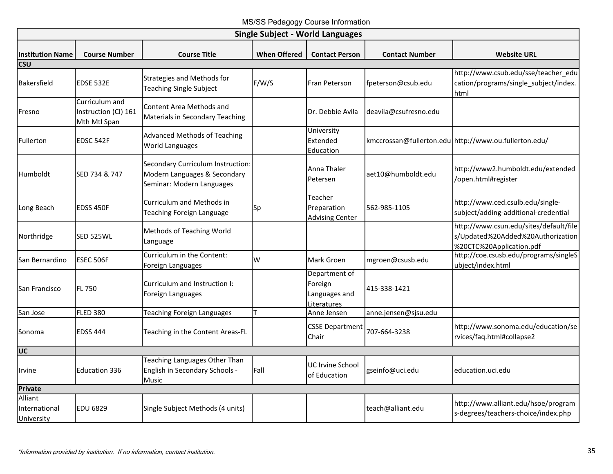MS/SS Pedagogy Course Information

<span id="page-36-0"></span>

| <b>Single Subject - World Languages</b> |                                                        |                                                                                                |                     |                                                          |                       |                                                                                                         |  |  |
|-----------------------------------------|--------------------------------------------------------|------------------------------------------------------------------------------------------------|---------------------|----------------------------------------------------------|-----------------------|---------------------------------------------------------------------------------------------------------|--|--|
| <b>Institution Name</b>                 | <b>Course Number</b>                                   | <b>Course Title</b>                                                                            | <b>When Offered</b> | <b>Contact Person</b>                                    | <b>Contact Number</b> | <b>Website URL</b>                                                                                      |  |  |
| <b>CSU</b>                              |                                                        |                                                                                                |                     |                                                          |                       |                                                                                                         |  |  |
| <b>Bakersfield</b>                      | <b>EDSE 532E</b>                                       | Strategies and Methods for<br><b>Teaching Single Subject</b>                                   | F/W/S               | Fran Peterson                                            | fpeterson@csub.edu    | http://www.csub.edu/sse/teacher_edu<br>cation/programs/single subject/index.<br>html                    |  |  |
| Fresno                                  | Curriculum and<br>Instruction (CI) 161<br>Mth Mtl Span | Content Area Methods and<br>Materials in Secondary Teaching                                    |                     | Dr. Debbie Avila                                         | deavila@csufresno.edu |                                                                                                         |  |  |
| Fullerton                               | EDSC 542F                                              | <b>Advanced Methods of Teaching</b><br>World Languages                                         |                     | University<br>Extended<br>Education                      |                       | kmccrossan@fullerton.edu http://www.ou.fullerton.edu/                                                   |  |  |
| Humboldt                                | SED 734 & 747                                          | Secondary Curriculum Instruction:<br>Modern Languages & Secondary<br>Seminar: Modern Languages |                     | Anna Thaler<br>Petersen                                  | aet10@humboldt.edu    | http://www2.humboldt.edu/extended<br>/open.html#register                                                |  |  |
| Long Beach                              | EDSS 450F                                              | Curriculum and Methods in<br>Teaching Foreign Language                                         | Sp                  | Teacher<br>Preparation<br><b>Advising Center</b>         | 562-985-1105          | http://www.ced.csulb.edu/single-<br>subject/adding-additional-credential                                |  |  |
| Northridge                              | SED 525WL                                              | Methods of Teaching World<br>Language                                                          |                     |                                                          |                       | http://www.csun.edu/sites/default/file<br>s/Updated%20Added%20Authorization<br>%20CTC%20Application.pdf |  |  |
| <b>San Bernardino</b>                   | <b>ESEC 506F</b>                                       | Curriculum in the Content:<br>Foreign Languages                                                | W                   | Mark Groen                                               | mgroen@csusb.edu      | http://coe.csusb.edu/programs/singleS<br>ubject/index.html                                              |  |  |
| San Francisco                           | <b>FL750</b>                                           | Curriculum and Instruction I:<br>Foreign Languages                                             |                     | Department of<br>Foreign<br>Languages and<br>Literatures | 415-338-1421          |                                                                                                         |  |  |
| San Jose                                | <b>FLED 380</b>                                        | <b>Teaching Foreign Languages</b>                                                              |                     | Anne Jensen                                              | anne.jensen@sjsu.edu  |                                                                                                         |  |  |
| Sonoma                                  | <b>EDSS 444</b>                                        | Teaching in the Content Areas-FL                                                               |                     | <b>CSSE Department</b><br>Chair                          | 707-664-3238          | http://www.sonoma.edu/education/se<br>rvices/faq.html#collapse2                                         |  |  |
| UC                                      |                                                        |                                                                                                |                     |                                                          |                       |                                                                                                         |  |  |
| Irvine                                  | <b>Education 336</b>                                   | Teaching Languages Other Than<br>English in Secondary Schools -<br>Music                       | Fall                | UC Irvine School<br>of Education                         | gseinfo@uci.edu       | education.uci.edu                                                                                       |  |  |
| <b>Private</b>                          |                                                        |                                                                                                |                     |                                                          |                       |                                                                                                         |  |  |
| Alliant<br>International<br>University  | EDU 6829                                               | Single Subject Methods (4 units)                                                               |                     |                                                          | teach@alliant.edu     | http://www.alliant.edu/hsoe/program<br>s-degrees/teachers-choice/index.php                              |  |  |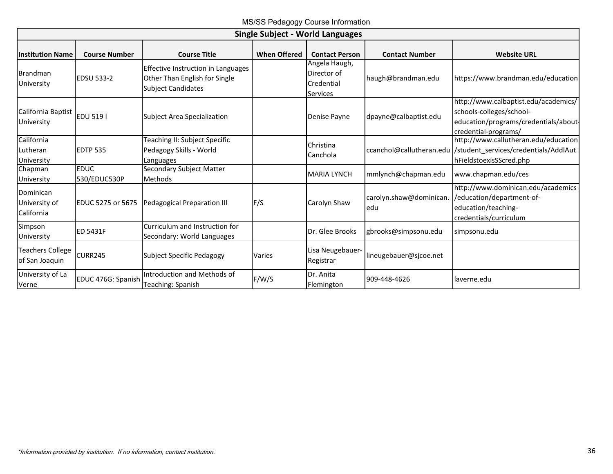MS/SS Pedagogy Course Information

|                                           | <b>Single Subject - World Languages</b> |                                                                                                  |                     |                                                               |                                |                                                                                                                                   |
|-------------------------------------------|-----------------------------------------|--------------------------------------------------------------------------------------------------|---------------------|---------------------------------------------------------------|--------------------------------|-----------------------------------------------------------------------------------------------------------------------------------|
| <b>Institution Name</b>                   | <b>Course Number</b>                    | <b>Course Title</b>                                                                              | <b>When Offered</b> | <b>Contact Person</b>                                         | <b>Contact Number</b>          | <b>Website URL</b>                                                                                                                |
| Brandman<br>University                    | <b>EDSU 533-2</b>                       | Effective Instruction in Languages<br>Other Than English for Single<br><b>Subject Candidates</b> |                     | Angela Haugh,<br>Director of<br>Credential<br><b>Services</b> | haugh@brandman.edu             | https://www.brandman.edu/education                                                                                                |
| California Baptist<br>University          | <b>EDU 5191</b>                         | <b>Subject Area Specialization</b>                                                               |                     | Denise Payne                                                  | dpayne@calbaptist.edu          | http://www.calbaptist.edu/academics/<br>schools-colleges/school-<br>education/programs/credentials/about-<br>credential-programs/ |
| California<br>Lutheran<br>University      | <b>EDTP 535</b>                         | Teaching II: Subject Specific<br>Pedagogy Skills - World<br>Languages                            |                     | Christina<br>Canchola                                         |                                | http://www.callutheran.edu/education<br>ccanchol@callutheran.edu /student_services/credentials/AddlAut<br>hFieldstoexisSScred.php |
| Chapman<br>University                     | <b>EDUC</b><br>530/EDUC530P             | Secondary Subject Matter<br>Methods                                                              |                     | <b>MARIA LYNCH</b>                                            | mmlynch@chapman.edu            | www.chapman.edu/ces                                                                                                               |
| Dominican<br>University of<br>California  | <b>EDUC 5275 or 5675</b>                | Pedagogical Preparation III                                                                      | F/S                 | Carolyn Shaw                                                  | carolyn.shaw@dominican.<br>edu | http://www.dominican.edu/academics<br>/education/department-of-<br>education/teaching-<br>credentials/curriculum                  |
| Simpson<br>University                     | <b>ED 5431F</b>                         | Curriculum and Instruction for<br>Secondary: World Languages                                     |                     | Dr. Glee Brooks                                               | gbrooks@simpsonu.edu           | simpsonu.edu                                                                                                                      |
| <b>Teachers College</b><br>of San Joaquin | <b>CURR245</b>                          | <b>Subject Specific Pedagogy</b>                                                                 | Varies              | Lisa Neugebauer-<br>Registrar                                 | lineugebauer@sjcoe.net         |                                                                                                                                   |
| University of La<br>Verne                 | EDUC 476G: Spanish                      | Introduction and Methods of<br>Teaching: Spanish                                                 | F/W/S               | Dr. Anita<br>Flemington                                       | 909-448-4626                   | llaverne.edu                                                                                                                      |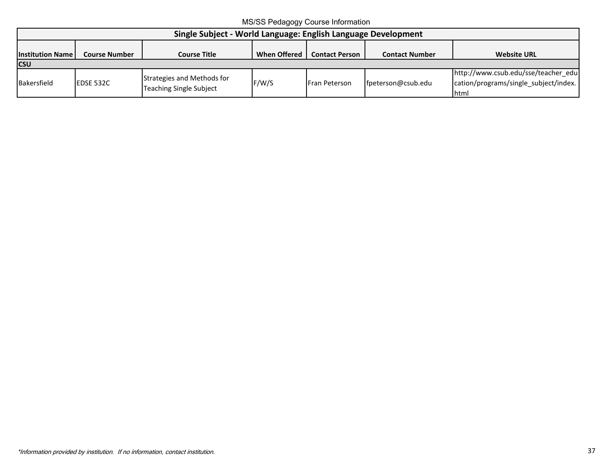MS/SS Pedagogy Course Information

<span id="page-38-0"></span>

| Single Subject - World Language: English Language Development                                                                                                         |           |                                                              |       |                      |                    |                                                                                                |  |
|-----------------------------------------------------------------------------------------------------------------------------------------------------------------------|-----------|--------------------------------------------------------------|-------|----------------------|--------------------|------------------------------------------------------------------------------------------------|--|
| <b>When Offered</b><br><b>Website URL</b><br><b>Institution Name</b><br><b>Contact Person</b><br><b>Contact Number</b><br><b>Course Number</b><br><b>Course Title</b> |           |                                                              |       |                      |                    |                                                                                                |  |
| <b>CSU</b>                                                                                                                                                            |           |                                                              |       |                      |                    |                                                                                                |  |
| Bakersfield                                                                                                                                                           | EDSE 532C | Strategies and Methods for<br><b>Teaching Single Subject</b> | F/W/S | <b>Fran Peterson</b> | fpeterson@csub.edu | http://www.csub.edu/sse/teacher_edu<br>cation/programs/single_subject/index.  <br><b>Ihtml</b> |  |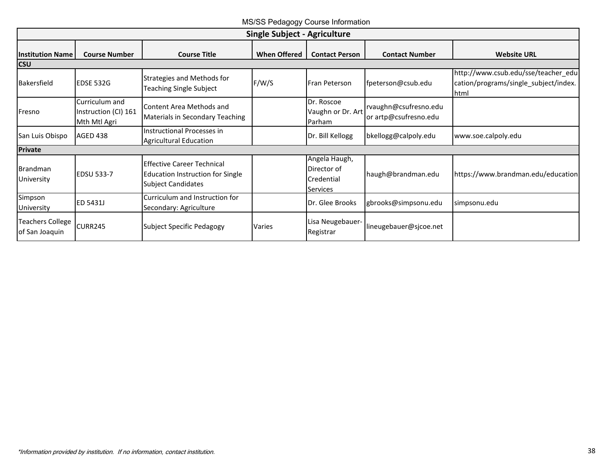MS/SS Pedagogy Course Information

<span id="page-39-0"></span>

|                                           | <b>Single Subject - Agriculture</b>                    |                                                                                                           |                     |                                                               |                                                |                                                                                      |  |
|-------------------------------------------|--------------------------------------------------------|-----------------------------------------------------------------------------------------------------------|---------------------|---------------------------------------------------------------|------------------------------------------------|--------------------------------------------------------------------------------------|--|
| <b>Institution Name</b><br><b>CSU</b>     | <b>Course Number</b>                                   | <b>Course Title</b>                                                                                       | <b>When Offered</b> | <b>Contact Person</b>                                         | <b>Contact Number</b>                          | <b>Website URL</b>                                                                   |  |
| <b>Bakersfield</b>                        | <b>EDSE 532G</b>                                       | Strategies and Methods for<br>Teaching Single Subject                                                     | F/W/S               | Fran Peterson                                                 | fpeterson@csub.edu                             | http://www.csub.edu/sse/teacher_edu<br>cation/programs/single_subject/index.<br>html |  |
| Fresno                                    | Curriculum and<br>Instruction (CI) 161<br>Mth Mtl Agri | Content Area Methods and<br>Materials in Secondary Teaching                                               |                     | Dr. Roscoe<br>Vaughn or Dr. Art<br>Parham                     | rvaughn@csufresno.edu<br>or artp@csufresno.edu |                                                                                      |  |
| San Luis Obispo                           | AGED 438                                               | <b>Instructional Processes in</b><br><b>Agricultural Education</b>                                        |                     | Dr. Bill Kellogg                                              | bkellogg@calpoly.edu                           | www.soe.calpoly.edu                                                                  |  |
| <b>Private</b>                            |                                                        |                                                                                                           |                     |                                                               |                                                |                                                                                      |  |
| Brandman<br>University                    | <b>EDSU 533-7</b>                                      | <b>Effective Career Technical</b><br><b>Education Instruction for Single</b><br><b>Subject Candidates</b> |                     | Angela Haugh,<br>Director of<br>Credential<br><b>Services</b> | haugh@brandman.edu                             | https://www.brandman.edu/education                                                   |  |
| Simpson<br>University                     | ED 5431J                                               | Curriculum and Instruction for<br>Secondary: Agriculture                                                  |                     | Dr. Glee Brooks                                               | gbrooks@simpsonu.edu                           | simpsonu.edu                                                                         |  |
| <b>Teachers College</b><br>of San Joaquin | <b>CURR245</b>                                         | <b>Subject Specific Pedagogy</b>                                                                          | Varies              | Lisa Neugebauer-<br>Registrar                                 | lineugebauer@sjcoe.net                         |                                                                                      |  |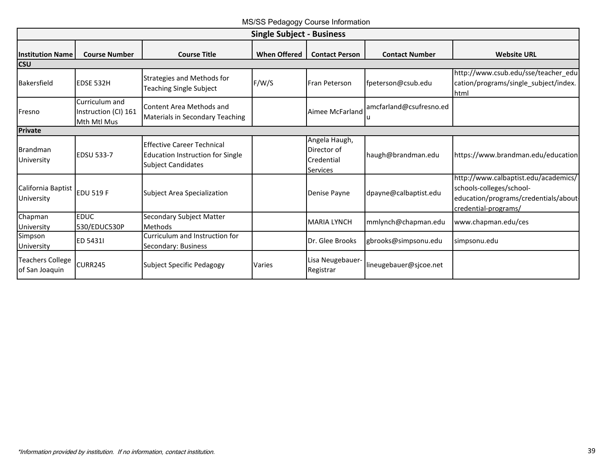MS/SS Pedagogy Course Information

<span id="page-40-0"></span>

| <b>Single Subject - Business</b>          |                                                       |                                                                                                           |                     |                                                               |                               |                                                                                                                                   |
|-------------------------------------------|-------------------------------------------------------|-----------------------------------------------------------------------------------------------------------|---------------------|---------------------------------------------------------------|-------------------------------|-----------------------------------------------------------------------------------------------------------------------------------|
| <b>Institution Name</b><br><b>CSU</b>     | <b>Course Number</b>                                  | <b>Course Title</b>                                                                                       | <b>When Offered</b> | <b>Contact Person</b>                                         | <b>Contact Number</b>         | <b>Website URL</b>                                                                                                                |
| Bakersfield                               | EDSE 532H                                             | Strategies and Methods for<br><b>Teaching Single Subject</b>                                              | F/W/S               | <b>Fran Peterson</b>                                          | fpeterson@csub.edu            | http://www.csub.edu/sse/teacher_edu<br>cation/programs/single_subject/index.<br><b>Ihtml</b>                                      |
| Fresno                                    | Curriculum and<br>Instruction (CI) 161<br>Mth Mtl Mus | Content Area Methods and<br>Materials in Secondary Teaching                                               |                     | Aimee McFarland                                               | amcfarland@csufresno.ed<br>Ιu |                                                                                                                                   |
| <b>Private</b>                            |                                                       |                                                                                                           |                     |                                                               |                               |                                                                                                                                   |
| Brandman<br>University                    | <b>EDSU 533-7</b>                                     | <b>Effective Career Technical</b><br><b>Education Instruction for Single</b><br><b>Subject Candidates</b> |                     | Angela Haugh,<br>Director of<br>Credential<br><b>Services</b> | haugh@brandman.edu            | https://www.brandman.edu/education                                                                                                |
| California Baptist<br>University          | <b>EDU 519 F</b>                                      | Subject Area Specialization                                                                               |                     | Denise Payne                                                  | dpayne@calbaptist.edu         | http://www.calbaptist.edu/academics/<br>schools-colleges/school-<br>education/programs/credentials/about-<br>credential-programs/ |
| Chapman<br>University                     | <b>EDUC</b><br>530/EDUC530P                           | Secondary Subject Matter<br><b>Methods</b>                                                                |                     | <b>MARIA LYNCH</b>                                            | mmlynch@chapman.edu           | www.chapman.edu/ces                                                                                                               |
| Simpson<br>University                     | <b>ED 54311</b>                                       | Curriculum and Instruction for<br>Secondary: Business                                                     |                     | Dr. Glee Brooks                                               | gbrooks@simpsonu.edu          | simpsonu.edu                                                                                                                      |
| <b>Teachers College</b><br>of San Joaquin | CURR245                                               | Subject Specific Pedagogy                                                                                 | Varies              | Lisa Neugebauer-<br>Registrar                                 | lineugebauer@sjcoe.net        |                                                                                                                                   |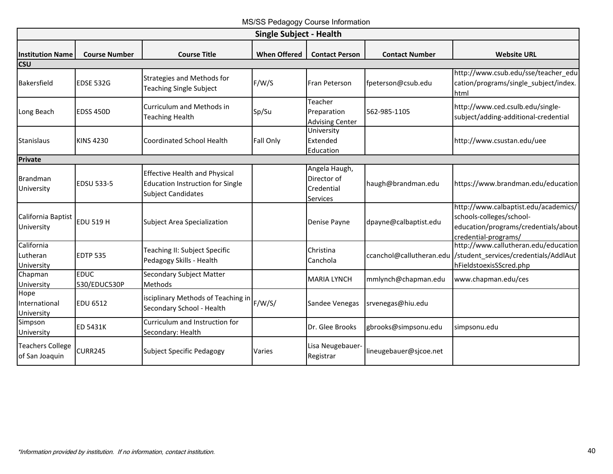MS/SS Pedagogy Course Information

<span id="page-41-0"></span>

| <b>Single Subject - Health</b>            |                             |                                                                                                              |                     |                                                               |                          |                                                                                                                                   |
|-------------------------------------------|-----------------------------|--------------------------------------------------------------------------------------------------------------|---------------------|---------------------------------------------------------------|--------------------------|-----------------------------------------------------------------------------------------------------------------------------------|
| <b>Institution Name</b>                   | <b>Course Number</b>        | <b>Course Title</b>                                                                                          | <b>When Offered</b> | <b>Contact Person</b>                                         | <b>Contact Number</b>    | <b>Website URL</b>                                                                                                                |
| <b>CSU</b>                                |                             |                                                                                                              |                     |                                                               |                          |                                                                                                                                   |
| Bakersfield                               | <b>EDSE 532G</b>            | Strategies and Methods for<br><b>Teaching Single Subject</b>                                                 | F/W/S               | Fran Peterson                                                 | fpeterson@csub.edu       | http://www.csub.edu/sse/teacher_edu<br>cation/programs/single_subject/index.<br><b>Ihtml</b>                                      |
| Long Beach                                | <b>EDSS 450D</b>            | Curriculum and Methods in<br><b>Teaching Health</b>                                                          | Sp/Su               | Teacher<br>Preparation<br><b>Advising Center</b>              | 562-985-1105             | http://www.ced.csulb.edu/single-<br>subject/adding-additional-credential                                                          |
| <b>Stanislaus</b>                         | <b>KINS 4230</b>            | <b>Coordinated School Health</b>                                                                             | Fall Only           | University<br>Extended<br>Education                           |                          | http://www.csustan.edu/uee                                                                                                        |
| <b>Private</b>                            |                             |                                                                                                              |                     |                                                               |                          |                                                                                                                                   |
| <b>Brandman</b><br>University             | <b>EDSU 533-5</b>           | <b>Effective Health and Physical</b><br><b>Education Instruction for Single</b><br><b>Subject Candidates</b> |                     | Angela Haugh,<br>Director of<br>Credential<br><b>Services</b> | haugh@brandman.edu       | https://www.brandman.edu/education                                                                                                |
| California Baptist<br>University          | <b>EDU 519 H</b>            | <b>Subject Area Specialization</b>                                                                           |                     | Denise Payne                                                  | dpayne@calbaptist.edu    | http://www.calbaptist.edu/academics/<br>schools-colleges/school-<br>education/programs/credentials/about-<br>credential-programs/ |
| California<br>Lutheran<br>University      | <b>EDTP 535</b>             | Teaching II: Subject Specific<br>Pedagogy Skills - Health                                                    |                     | Christina<br>Canchola                                         | ccanchol@callutheran.edu | http://www.callutheran.edu/education<br>/student_services/credentials/AddlAut<br>hFieldstoexisSScred.php                          |
| Chapman<br>University                     | <b>EDUC</b><br>530/EDUC530P | Secondary Subject Matter<br>Methods                                                                          |                     | <b>MARIA LYNCH</b>                                            | mmlynch@chapman.edu      | www.chapman.edu/ces                                                                                                               |
| Hope<br>International<br>University       | <b>EDU 6512</b>             | isciplinary Methods of Teaching in<br>Secondary School - Health                                              | F/W/S/              | Sandee Venegas                                                | srvenegas@hiu.edu        |                                                                                                                                   |
| Simpson<br>University                     | ED 5431K                    | Curriculum and Instruction for<br>Secondary: Health                                                          |                     | Dr. Glee Brooks                                               | gbrooks@simpsonu.edu     | simpsonu.edu                                                                                                                      |
| <b>Teachers College</b><br>of San Joaquin | <b>CURR245</b>              | <b>Subject Specific Pedagogy</b>                                                                             | Varies              | Lisa Neugebauer-<br>Registrar                                 | lineugebauer@sjcoe.net   |                                                                                                                                   |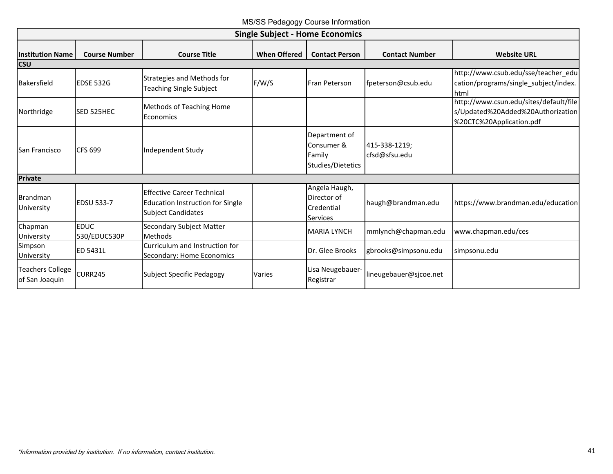MS/SS Pedagogy Course Information

<span id="page-42-0"></span>

| <b>Single Subject - Home Economics</b>    |                             |                                                                                                           |                     |                                                               |                                |                                                                                                         |
|-------------------------------------------|-----------------------------|-----------------------------------------------------------------------------------------------------------|---------------------|---------------------------------------------------------------|--------------------------------|---------------------------------------------------------------------------------------------------------|
| <b>Institution Name</b><br><b>CSU</b>     | <b>Course Number</b>        | <b>Course Title</b>                                                                                       | <b>When Offered</b> | <b>Contact Person</b>                                         | <b>Contact Number</b>          | <b>Website URL</b>                                                                                      |
| Bakersfield                               | <b>EDSE 532G</b>            | Strategies and Methods for<br>Teaching Single Subject                                                     | F/W/S               | Fran Peterson                                                 | fpeterson@csub.edu             | http://www.csub.edu/sse/teacher_edu<br>cation/programs/single_subject/index.<br>Ihtml                   |
| Northridge                                | <b>SED 525HEC</b>           | Methods of Teaching Home<br>Economics                                                                     |                     |                                                               |                                | http://www.csun.edu/sites/default/file<br>s/Updated%20Added%20Authorization<br>%20CTC%20Application.pdf |
| San Francisco                             | <b>CFS 699</b>              | Independent Study                                                                                         |                     | Department of<br>Consumer &<br>Family<br>Studies/Dietetics    | 415-338-1219:<br>cfsd@sfsu.edu |                                                                                                         |
| <b>Private</b>                            |                             |                                                                                                           |                     |                                                               |                                |                                                                                                         |
| Brandman<br>University                    | <b>EDSU 533-7</b>           | <b>Effective Career Technical</b><br><b>Education Instruction for Single</b><br><b>Subject Candidates</b> |                     | Angela Haugh,<br>Director of<br>Credential<br><b>Services</b> | haugh@brandman.edu             | https://www.brandman.edu/education                                                                      |
| Chapman<br>University                     | <b>EDUC</b><br>530/EDUC530P | Secondary Subject Matter<br>Methods                                                                       |                     | <b>MARIA LYNCH</b>                                            | mmlynch@chapman.edu            | www.chapman.edu/ces                                                                                     |
| Simpson<br>University                     | <b>ED 5431L</b>             | Curriculum and Instruction for<br>Secondary: Home Economics                                               |                     | Dr. Glee Brooks                                               | gbrooks@simpsonu.edu           | simpsonu.edu                                                                                            |
| <b>Teachers College</b><br>of San Joaquin | <b>CURR245</b>              | <b>Subject Specific Pedagogy</b>                                                                          | Varies              | Lisa Neugebauer-<br>Registrar                                 | lineugebauer@sjcoe.net         |                                                                                                         |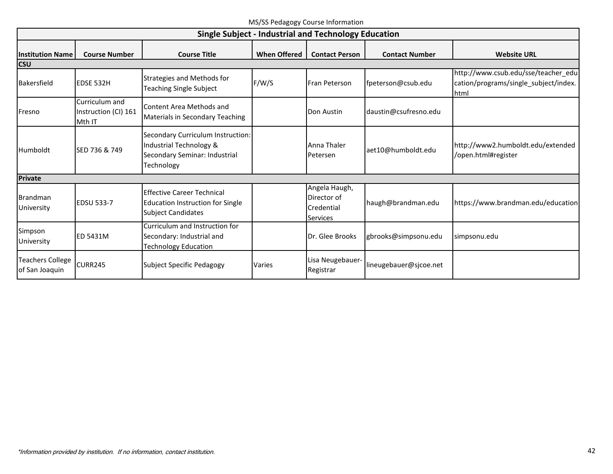| MS/SS Pedagogy Course Information |  |  |
|-----------------------------------|--|--|
|-----------------------------------|--|--|

<span id="page-43-0"></span>

|                                           | Single Subject - Industrial and Technology Education |                                                                                                             |                     |                                                               |                        |                                                                                             |
|-------------------------------------------|------------------------------------------------------|-------------------------------------------------------------------------------------------------------------|---------------------|---------------------------------------------------------------|------------------------|---------------------------------------------------------------------------------------------|
| <b>Institution Name</b>                   | <b>Course Number</b>                                 | <b>Course Title</b>                                                                                         | <b>When Offered</b> | <b>Contact Person</b>                                         | <b>Contact Number</b>  | <b>Website URL</b>                                                                          |
| <b>CSU</b><br>Bakersfield                 | EDSE 532H                                            | Strategies and Methods for<br><b>Teaching Single Subject</b>                                                | F/W/S               | Fran Peterson                                                 | fpeterson@csub.edu     | http://www.csub.edu/sse/teacher_edu<br>cation/programs/single_subject/index.<br><b>html</b> |
| <b>IFresno</b>                            | Curriculum and<br>Instruction (CI) 161<br>Mth IT     | Content Area Methods and<br>Materials in Secondary Teaching                                                 |                     | Don Austin                                                    | daustin@csufresno.edu  |                                                                                             |
| <b>Humboldt</b>                           | SED 736 & 749                                        | Secondary Curriculum Instruction:<br>Industrial Technology &<br>Secondary Seminar: Industrial<br>Technology |                     | Anna Thaler<br>Petersen                                       | aet10@humboldt.edu     | http://www2.humboldt.edu/extended<br>/open.html#register                                    |
| <b>Private</b>                            |                                                      |                                                                                                             |                     |                                                               |                        |                                                                                             |
| Brandman<br>University                    | <b>EDSU 533-7</b>                                    | <b>Effective Career Technical</b><br><b>Education Instruction for Single</b><br><b>Subject Candidates</b>   |                     | Angela Haugh,<br>Director of<br>Credential<br><b>Services</b> | haugh@brandman.edu     | https://www.brandman.edu/education                                                          |
| Simpson<br>University                     | <b>ED 5431M</b>                                      | Curriculum and Instruction for<br>Secondary: Industrial and<br><b>Technology Education</b>                  |                     | Dr. Glee Brooks                                               | gbrooks@simpsonu.edu   | simpsonu.edu                                                                                |
| <b>Teachers College</b><br>of San Joaquin | <b>CURR245</b>                                       | Subject Specific Pedagogy                                                                                   | <b>Varies</b>       | Lisa Neugebauer-<br>Registrar                                 | lineugebauer@sjcoe.net |                                                                                             |